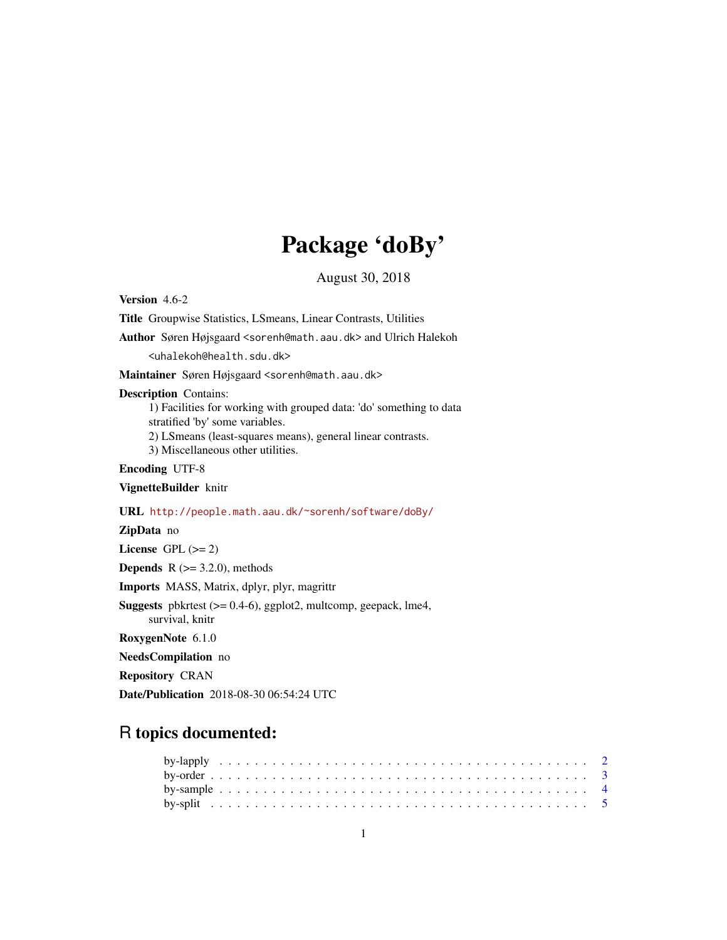# Package 'doBy'

August 30, 2018

<span id="page-0-0"></span>Version 4.6-2 Title Groupwise Statistics, LSmeans, Linear Contrasts, Utilities Author Søren Højsgaard <sorenh@math.aau.dk> and Ulrich Halekoh <uhalekoh@health.sdu.dk> Maintainer Søren Højsgaard <sorenh@math.aau.dk> Description Contains: 1) Facilities for working with grouped data: 'do' something to data stratified 'by' some variables. 2) LSmeans (least-squares means), general linear contrasts. 3) Miscellaneous other utilities. Encoding UTF-8 VignetteBuilder knitr URL <http://people.math.aau.dk/~sorenh/software/doBy/> ZipData no License GPL  $(>= 2)$ **Depends**  $R$  ( $>= 3.2.0$ ), methods Imports MASS, Matrix, dplyr, plyr, magrittr Suggests pbkrtest (>= 0.4-6), ggplot2, multcomp, geepack, lme4, survival, knitr RoxygenNote 6.1.0 NeedsCompilation no

Repository CRAN

Date/Publication 2018-08-30 06:54:24 UTC

# R topics documented: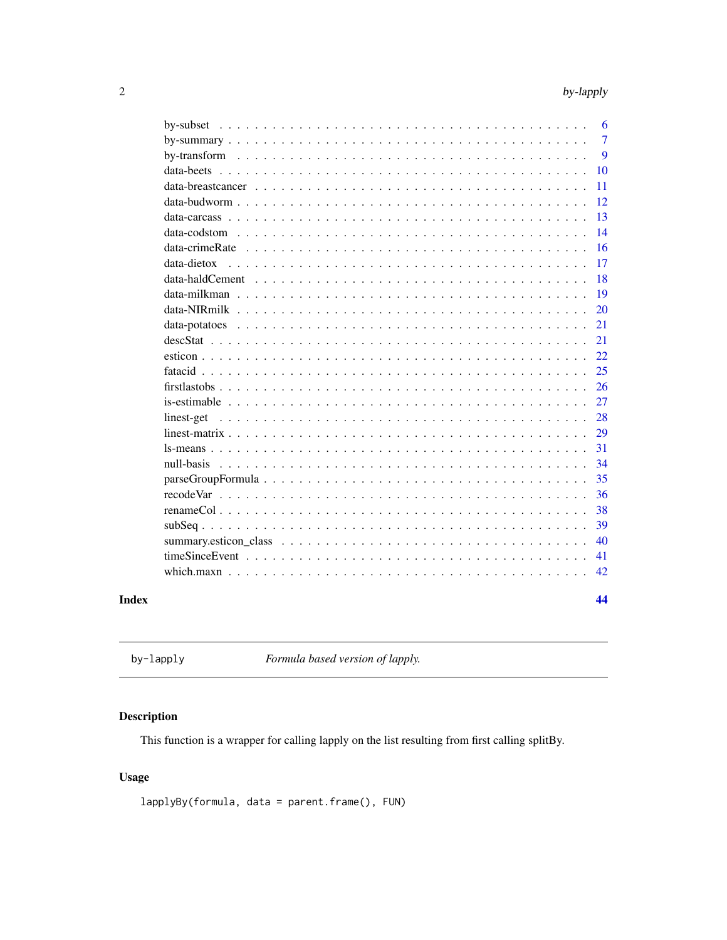<span id="page-1-0"></span>

|       |                                                                                                                                                     | 6              |
|-------|-----------------------------------------------------------------------------------------------------------------------------------------------------|----------------|
|       |                                                                                                                                                     | $\overline{7}$ |
|       |                                                                                                                                                     | 9              |
|       |                                                                                                                                                     | 10             |
|       | data-breastcancer $\ldots$ , $\ldots$ , $\ldots$ , $\ldots$ , $\ldots$ , $\ldots$ , $\ldots$ , $\ldots$ , $\ldots$ , $\ldots$ , $\ldots$ , $\ldots$ | 11             |
|       |                                                                                                                                                     | 12             |
|       |                                                                                                                                                     | 13             |
|       |                                                                                                                                                     | 14             |
|       |                                                                                                                                                     | 16             |
|       | data-dietox                                                                                                                                         | 17             |
|       |                                                                                                                                                     | 18             |
|       |                                                                                                                                                     | 19             |
|       |                                                                                                                                                     | 20             |
|       |                                                                                                                                                     | 21             |
|       |                                                                                                                                                     | 21             |
|       |                                                                                                                                                     | 22             |
|       |                                                                                                                                                     | 25             |
|       |                                                                                                                                                     | 26             |
|       |                                                                                                                                                     | 27             |
|       | linest-get                                                                                                                                          | 28             |
|       |                                                                                                                                                     | 29             |
|       |                                                                                                                                                     | 31             |
|       | null-basis                                                                                                                                          | 34             |
|       |                                                                                                                                                     | 35             |
|       |                                                                                                                                                     | 36             |
|       |                                                                                                                                                     | 38             |
|       |                                                                                                                                                     | 39             |
|       |                                                                                                                                                     | 40             |
|       |                                                                                                                                                     | 41             |
|       |                                                                                                                                                     | 42             |
| Index |                                                                                                                                                     | 44             |

by-lapply *Formula based version of lapply.*

# <span id="page-1-1"></span>Description

This function is a wrapper for calling lapply on the list resulting from first calling splitBy.

# Usage

lapplyBy(formula, data = parent.frame(), FUN)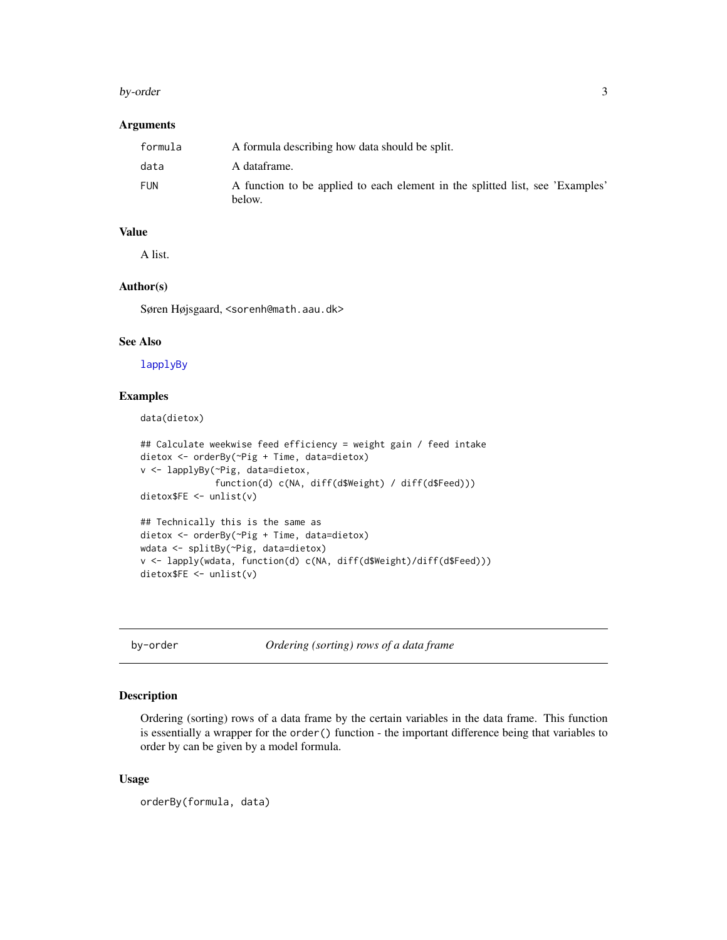#### <span id="page-2-0"></span>by-order 3

# Arguments

| formula    | A formula describing how data should be split.                                          |
|------------|-----------------------------------------------------------------------------------------|
| data       | A dataframe.                                                                            |
| <b>FUN</b> | A function to be applied to each element in the splitted list, see 'Examples'<br>below. |

#### Value

A list.

# Author(s)

Søren Højsgaard, <sorenh@math.aau.dk>

#### See Also

[lapplyBy](#page-1-1)

# Examples

data(dietox)

```
## Calculate weekwise feed efficiency = weight gain / feed intake
dietox <- orderBy(~Pig + Time, data=dietox)
v <- lapplyBy(~Pig, data=dietox,
              function(d) c(NA, diff(d$Weight) / diff(d$Feed)))
dietox$FE <- unlist(v)
## Technically this is the same as
dietox <- orderBy(~Pig + Time, data=dietox)
wdata <- splitBy(~Pig, data=dietox)
v <- lapply(wdata, function(d) c(NA, diff(d$Weight)/diff(d$Feed)))
dietox$FE <- unlist(v)
```
by-order *Ordering (sorting) rows of a data frame*

#### <span id="page-2-1"></span>Description

Ordering (sorting) rows of a data frame by the certain variables in the data frame. This function is essentially a wrapper for the order() function - the important difference being that variables to order by can be given by a model formula.

#### Usage

```
orderBy(formula, data)
```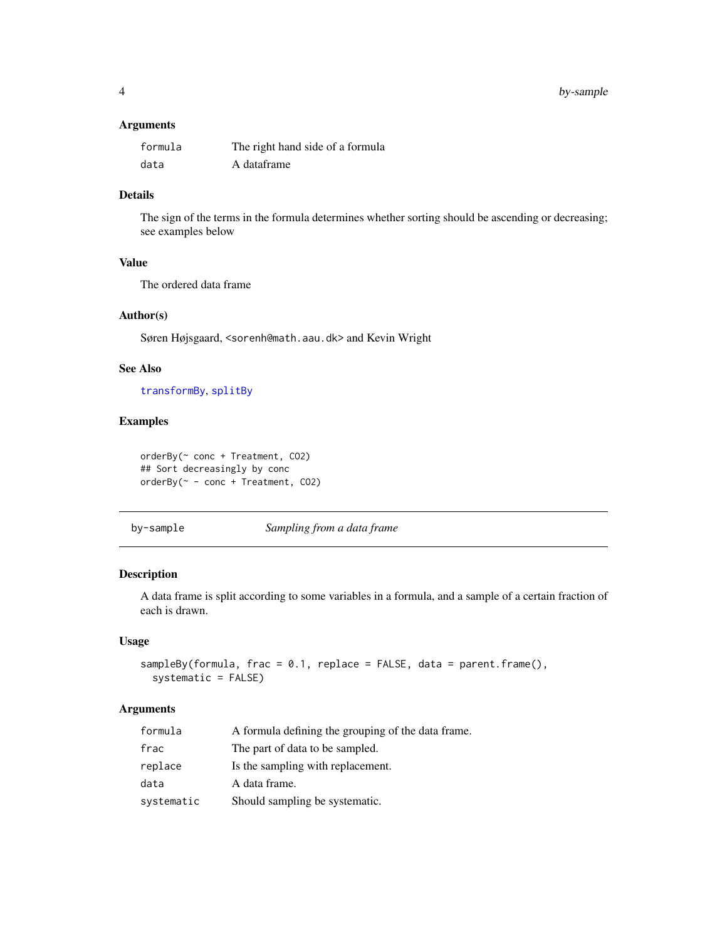# <span id="page-3-0"></span>Arguments

| formula | The right hand side of a formula |
|---------|----------------------------------|
| data    | A dataframe                      |

# Details

The sign of the terms in the formula determines whether sorting should be ascending or decreasing; see examples below

# Value

The ordered data frame

#### Author(s)

Søren Højsgaard, <sorenh@math.aau.dk> and Kevin Wright

# See Also

[transformBy](#page-8-1), [splitBy](#page-4-1)

# Examples

```
orderBy(~ conc + Treatment, CO2)
## Sort decreasingly by conc
orderBy(~ - conc + Treatment, CO2)
```
by-sample *Sampling from a data frame*

# Description

A data frame is split according to some variables in a formula, and a sample of a certain fraction of each is drawn.

#### Usage

```
sampleBy(formula, frac = 0.1, replace = FALSE, data = parent.frame(),
 systematic = FALSE)
```
# Arguments

| formula    | A formula defining the grouping of the data frame. |
|------------|----------------------------------------------------|
| frac       | The part of data to be sampled.                    |
| replace    | Is the sampling with replacement.                  |
| data       | A data frame.                                      |
| systematic | Should sampling be systematic.                     |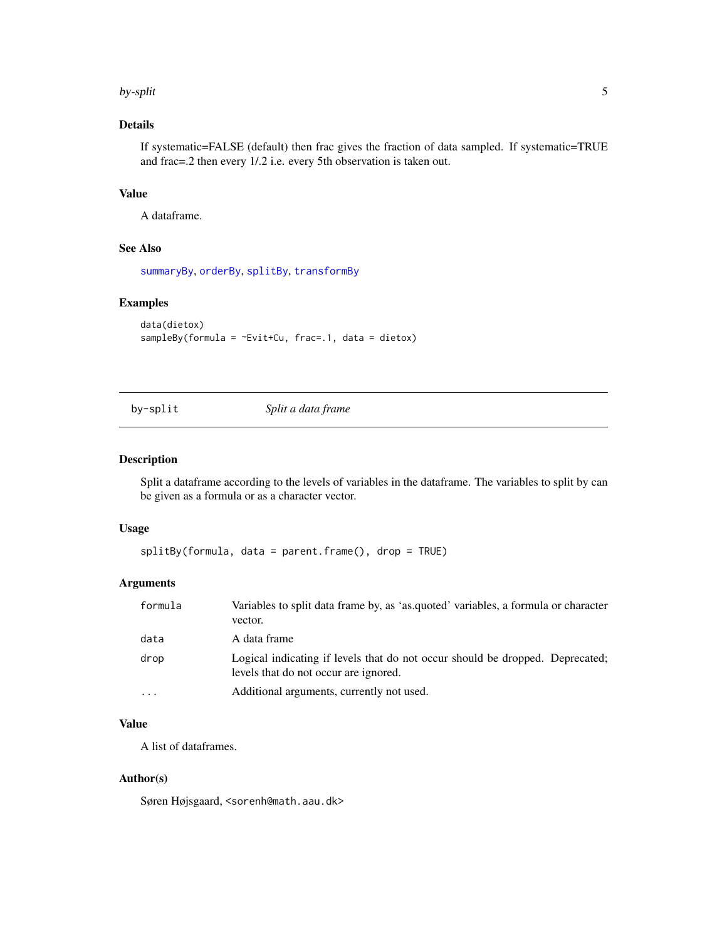#### <span id="page-4-0"></span>by-split 5

# Details

If systematic=FALSE (default) then frac gives the fraction of data sampled. If systematic=TRUE and frac=.2 then every 1/.2 i.e. every 5th observation is taken out.

# Value

A dataframe.

# See Also

[summaryBy](#page-6-1), [orderBy](#page-2-1), [splitBy](#page-4-1), [transformBy](#page-8-1)

#### Examples

```
data(dietox)
sampleBy(formula = \negEvit+Cu, frac=.1, data = dietox)
```
by-split *Split a data frame*

#### <span id="page-4-1"></span>Description

Split a dataframe according to the levels of variables in the dataframe. The variables to split by can be given as a formula or as a character vector.

#### Usage

```
splitBy(formula, data = parent.frame(), drop = TRUE)
```
# Arguments

| formula                 | Variables to split data frame by, as 'as.quoted' variables, a formula or character<br>vector.                          |
|-------------------------|------------------------------------------------------------------------------------------------------------------------|
| data                    | A data frame                                                                                                           |
| drop                    | Logical indicating if levels that do not occur should be dropped. Deprecated:<br>levels that do not occur are ignored. |
| $\cdot$ $\cdot$ $\cdot$ | Additional arguments, currently not used.                                                                              |

# Value

A list of dataframes.

### Author(s)

Søren Højsgaard, <sorenh@math.aau.dk>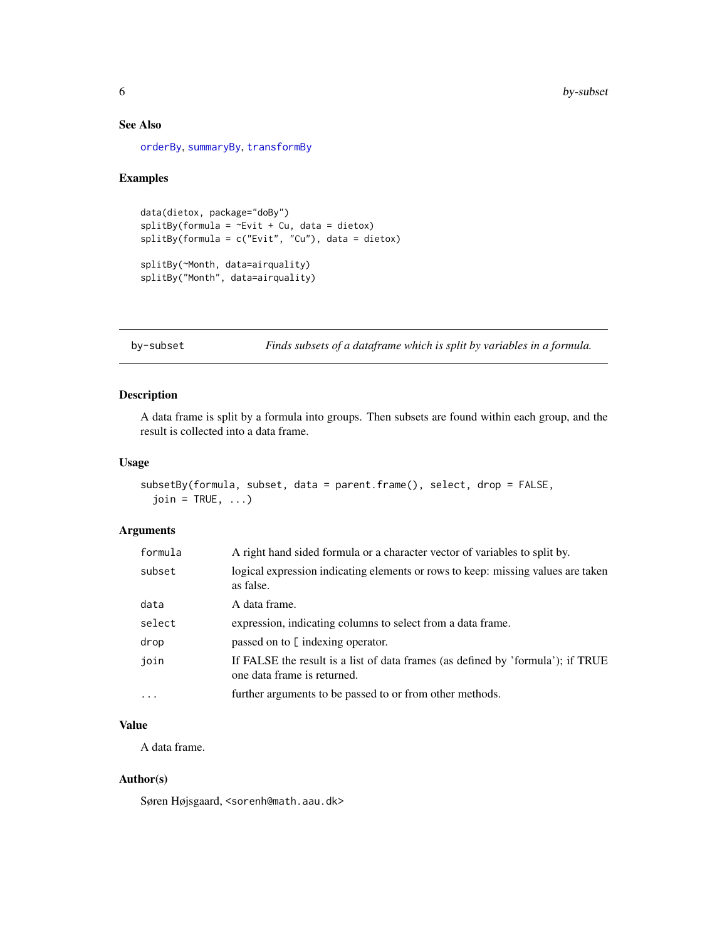# See Also

[orderBy](#page-2-1), [summaryBy](#page-6-1), [transformBy](#page-8-1)

#### Examples

```
data(dietox, package="doBy")
splitBy(formula = <math>\sim</math>Evit + Cu, data = dietox)splitBy(formula = c("Evit", "Cu"), data = dietox)
splitBy(~Month, data=airquality)
splitBy("Month", data=airquality)
```
by-subset *Finds subsets of a dataframe which is split by variables in a formula.*

# Description

A data frame is split by a formula into groups. Then subsets are found within each group, and the result is collected into a data frame.

# Usage

```
subsetBy(formula, subset, data = parent.frame(), select, drop = FALSE,
  join = TRUE, ...)
```
# Arguments

| formula | A right hand sided formula or a character vector of variables to split by.                                     |
|---------|----------------------------------------------------------------------------------------------------------------|
| subset  | logical expression indicating elements or rows to keep: missing values are taken<br>as false.                  |
| data    | A data frame.                                                                                                  |
| select  | expression, indicating columns to select from a data frame.                                                    |
| drop    | passed on to [ indexing operator.                                                                              |
| join    | If FALSE the result is a list of data frames (as defined by 'formula'); if TRUE<br>one data frame is returned. |
| $\cdot$ | further arguments to be passed to or from other methods.                                                       |

# Value

A data frame.

### Author(s)

Søren Højsgaard, <sorenh@math.aau.dk>

<span id="page-5-0"></span>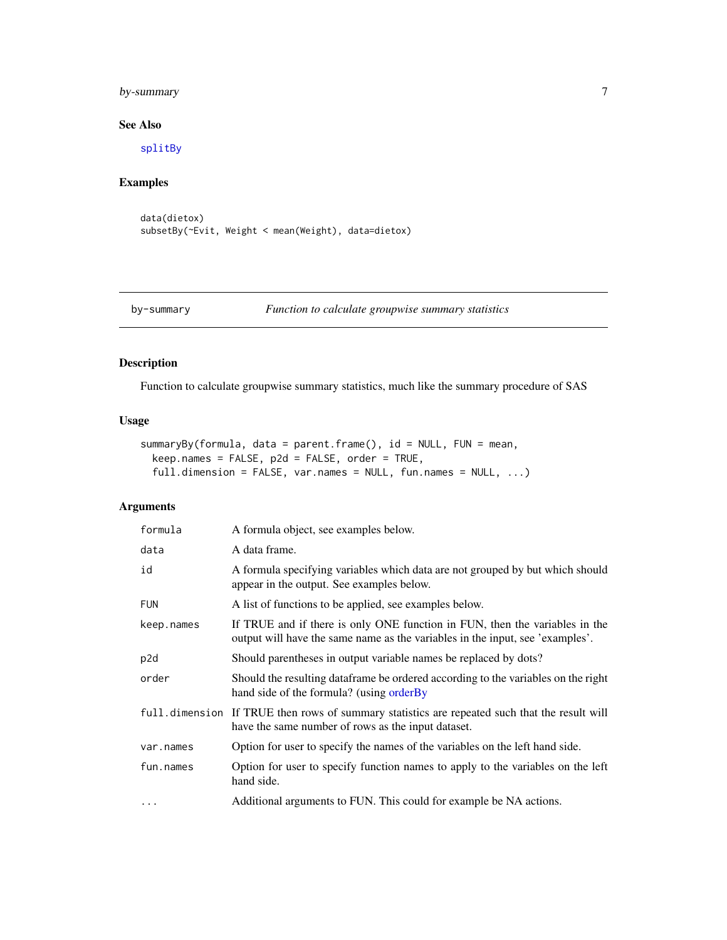# <span id="page-6-0"></span>by-summary 7

# See Also

[splitBy](#page-4-1)

# Examples

```
data(dietox)
subsetBy(~Evit, Weight < mean(Weight), data=dietox)
```
#### by-summary *Function to calculate groupwise summary statistics*

# <span id="page-6-1"></span>Description

Function to calculate groupwise summary statistics, much like the summary procedure of SAS

# Usage

```
summaryBy(formula, data = parent.frame(), id = NULL, FUN = mean,
 keep.names = FALSE, p2d = FALSE, order = TRUE,
 full.dimension = FALSE, var.names = NULL, fun.names = NULL, ...)
```
# Arguments

| formula         | A formula object, see examples below.                                                                                                                        |
|-----------------|--------------------------------------------------------------------------------------------------------------------------------------------------------------|
| data            | A data frame.                                                                                                                                                |
| id              | A formula specifying variables which data are not grouped by but which should<br>appear in the output. See examples below.                                   |
| <b>FUN</b>      | A list of functions to be applied, see examples below.                                                                                                       |
| keep.names      | If TRUE and if there is only ONE function in FUN, then the variables in the<br>output will have the same name as the variables in the input, see 'examples'. |
| p <sub>2d</sub> | Should parentheses in output variable names be replaced by dots?                                                                                             |
| order           | Should the resulting dataframe be ordered according to the variables on the right<br>hand side of the formula? (using orderBy                                |
|                 | full dimension If TRUE then rows of summary statistics are repeated such that the result will<br>have the same number of rows as the input dataset.          |
| var.names       | Option for user to specify the names of the variables on the left hand side.                                                                                 |
| fun.names       | Option for user to specify function names to apply to the variables on the left<br>hand side.                                                                |
| $\cdots$        | Additional arguments to FUN. This could for example be NA actions.                                                                                           |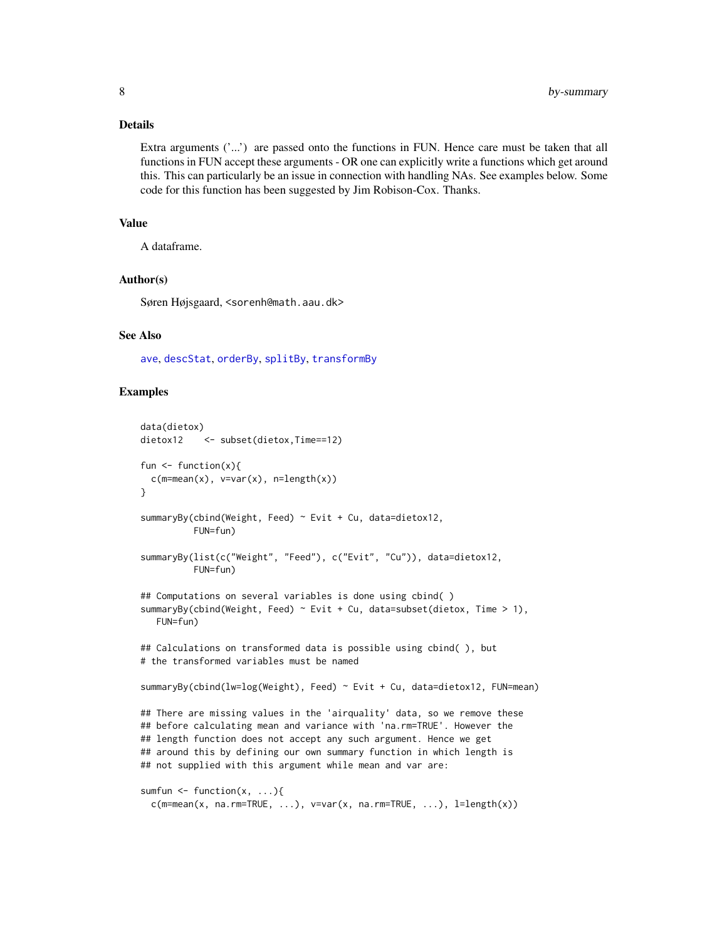#### <span id="page-7-0"></span>Details

Extra arguments  $('...')$  are passed onto the functions in FUN. Hence care must be taken that all functions in FUN accept these arguments - OR one can explicitly write a functions which get around this. This can particularly be an issue in connection with handling NAs. See examples below. Some code for this function has been suggested by Jim Robison-Cox. Thanks.

# Value

A dataframe.

#### Author(s)

Søren Højsgaard, <sorenh@math.aau.dk>

#### See Also

[ave](#page-0-0), [descStat](#page-20-1), [orderBy](#page-2-1), [splitBy](#page-4-1), [transformBy](#page-8-1)

```
data(dietox)
dietox12 <- subset(dietox, Time==12)
fun \leq function(x){
 c(m=mean(x), v=var(x), n=length(x))}
summaryBy(cbind(Weight, Feed) ~ Evit + Cu, data=dietox12,
          FUN=fun)
summaryBy(list(c("Weight", "Feed"), c("Evit", "Cu")), data=dietox12,
          FUN=fun)
## Computations on several variables is done using cbind( )
summaryBy(cbind(Weight, Feed) ~ Evit + Cu, data=subset(dietox, Time > 1),
  FUN=fun)
## Calculations on transformed data is possible using cbind( ), but
# the transformed variables must be named
summaryBy(cbind(lw=log(Weight), Feed) ~ Evit + Cu, data=dietox12, FUN=mean)
## There are missing values in the 'airquality' data, so we remove these
## before calculating mean and variance with 'na.rm=TRUE'. However the
## length function does not accept any such argument. Hence we get
## around this by defining our own summary function in which length is
## not supplied with this argument while mean and var are:
sumfun \leq function(x, ...){
 c(m=mean(x, na,rm=TRUE, ...), v=var(x, na,rm=TRUE, ...), l=length(x))
```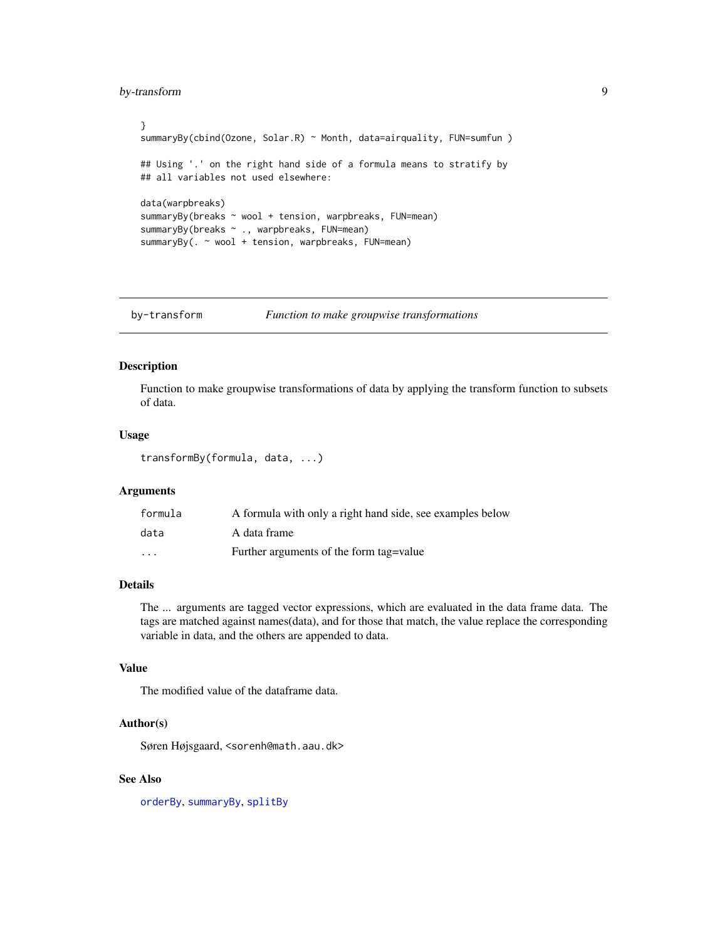# <span id="page-8-0"></span>by-transform 9

```
}
summaryBy(cbind(Ozone, Solar.R) ~ Month, data=airquality, FUN=sumfun)
## Using '.' on the right hand side of a formula means to stratify by
## all variables not used elsewhere:
data(warpbreaks)
summaryBy(breaks ~ wool + tension, warpbreaks, FUN=mean)
summaryBy(breaks ~ ., warpbreaks, FUN=mean)
summaryBy(. ~ wool + tension, warpbreaks, FUN=mean)
```
by-transform *Function to make groupwise transformations*

# <span id="page-8-1"></span>Description

Function to make groupwise transformations of data by applying the transform function to subsets of data.

#### Usage

```
transformBy(formula, data, ...)
```
#### Arguments

| formula  | A formula with only a right hand side, see examples below |
|----------|-----------------------------------------------------------|
| data     | A data frame                                              |
| $\cdots$ | Further arguments of the form tag = value                 |

# Details

The ... arguments are tagged vector expressions, which are evaluated in the data frame data. The tags are matched against names(data), and for those that match, the value replace the corresponding variable in data, and the others are appended to data.

#### Value

The modified value of the dataframe data.

# Author(s)

Søren Højsgaard, <sorenh@math.aau.dk>

# See Also

[orderBy](#page-2-1), [summaryBy](#page-6-1), [splitBy](#page-4-1)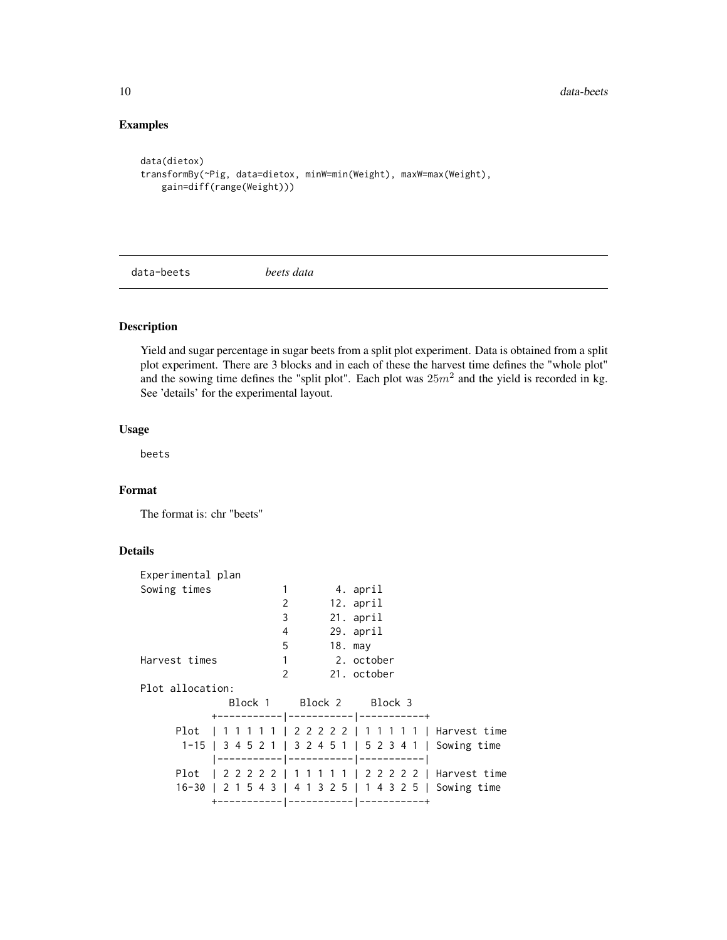# Examples

```
data(dietox)
transformBy(~Pig, data=dietox, minW=min(Weight), maxW=max(Weight),
   gain=diff(range(Weight)))
```
data-beets *beets data*

# Description

Yield and sugar percentage in sugar beets from a split plot experiment. Data is obtained from a split plot experiment. There are 3 blocks and in each of these the harvest time defines the "whole plot" and the sowing time defines the "split plot". Each plot was  $25m^2$  and the yield is recorded in kg. See 'details' for the experimental layout.

# Usage

beets

# Format

The format is: chr "beets"

# Details

| Sowing times  |  |                                       |  |                                                                    |  |  |           |                                                 |                           |                         |                                                                                                                                                                                                                                                                                                                                                    |
|---------------|--|---------------------------------------|--|--------------------------------------------------------------------|--|--|-----------|-------------------------------------------------|---------------------------|-------------------------|----------------------------------------------------------------------------------------------------------------------------------------------------------------------------------------------------------------------------------------------------------------------------------------------------------------------------------------------------|
|               |  |                                       |  |                                                                    |  |  |           |                                                 |                           |                         |                                                                                                                                                                                                                                                                                                                                                    |
|               |  |                                       |  |                                                                    |  |  |           |                                                 |                           |                         |                                                                                                                                                                                                                                                                                                                                                    |
|               |  |                                       |  |                                                                    |  |  |           |                                                 |                           |                         |                                                                                                                                                                                                                                                                                                                                                    |
|               |  |                                       |  |                                                                    |  |  |           |                                                 |                           |                         |                                                                                                                                                                                                                                                                                                                                                    |
| Harvest times |  |                                       |  |                                                                    |  |  |           |                                                 |                           |                         |                                                                                                                                                                                                                                                                                                                                                    |
|               |  |                                       |  |                                                                    |  |  |           |                                                 |                           |                         |                                                                                                                                                                                                                                                                                                                                                    |
|               |  |                                       |  |                                                                    |  |  |           |                                                 |                           |                         |                                                                                                                                                                                                                                                                                                                                                    |
|               |  |                                       |  |                                                                    |  |  |           |                                                 |                           |                         |                                                                                                                                                                                                                                                                                                                                                    |
|               |  |                                       |  |                                                                    |  |  |           |                                                 |                           |                         |                                                                                                                                                                                                                                                                                                                                                    |
|               |  |                                       |  |                                                                    |  |  |           |                                                 |                           |                         |                                                                                                                                                                                                                                                                                                                                                    |
|               |  |                                       |  |                                                                    |  |  |           |                                                 |                           |                         |                                                                                                                                                                                                                                                                                                                                                    |
|               |  |                                       |  |                                                                    |  |  |           |                                                 |                           |                         |                                                                                                                                                                                                                                                                                                                                                    |
|               |  |                                       |  |                                                                    |  |  |           |                                                 |                           |                         |                                                                                                                                                                                                                                                                                                                                                    |
|               |  |                                       |  |                                                                    |  |  |           |                                                 |                           |                         |                                                                                                                                                                                                                                                                                                                                                    |
|               |  |                                       |  |                                                                    |  |  |           |                                                 |                           |                         |                                                                                                                                                                                                                                                                                                                                                    |
|               |  | Experimental plan<br>Plot allocation: |  | 1<br>$\mathcal{P}$<br>3<br>4<br>5<br>$\mathbf{1}$<br>$\mathcal{P}$ |  |  | $18.$ may | 4. april<br>12. april<br>21. april<br>29. april | 2. october<br>21. october | Block 1 Block 2 Block 3 | +----------- ----------- ---------+<br>Plot   11111   22222   11111   Harvest time<br>1-15   3 4 5 2 1   3 2 4 5 1   5 2 3 4 1   Sowing time<br> ----------- ----------- ----------- <br>Plot   2 2 2 2 2   1 1 1 1 1   2 2 2 2 2   Harvest time<br>16-30   2 1 5 4 3   4 1 3 2 5   1 4 3 2 5   Sowing time<br>+----------- ----------- ---------+ |

<span id="page-9-0"></span>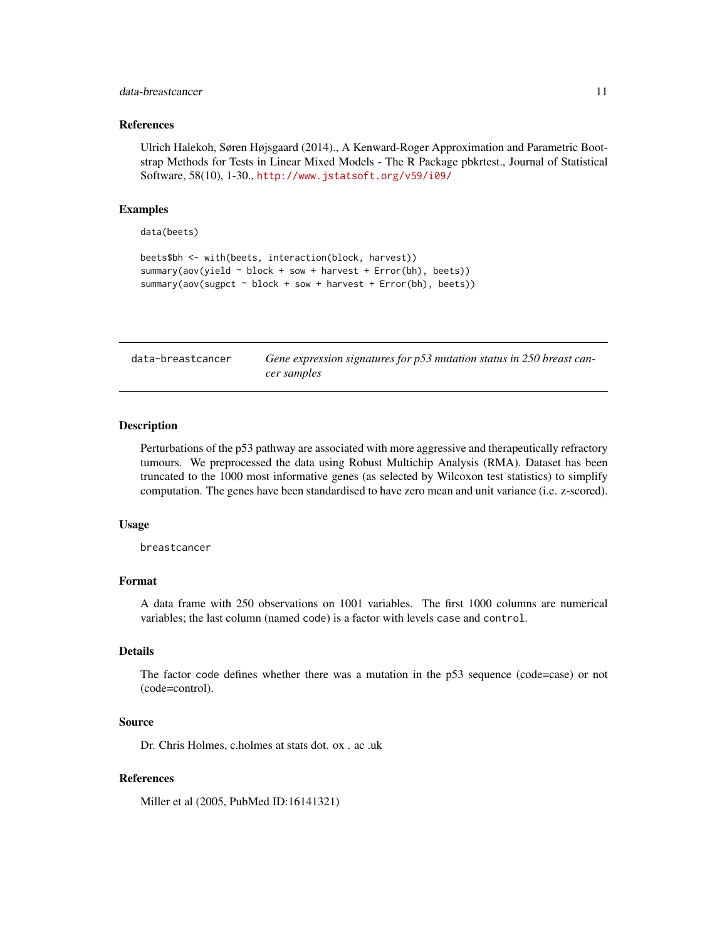#### <span id="page-10-0"></span>data-breastcancer 11

#### References

Ulrich Halekoh, Søren Højsgaard (2014)., A Kenward-Roger Approximation and Parametric Bootstrap Methods for Tests in Linear Mixed Models - The R Package pbkrtest., Journal of Statistical Software, 58(10), 1-30., <http://www.jstatsoft.org/v59/i09/>

#### Examples

data(beets)

```
beets$bh <- with(beets, interaction(block, harvest))
summary(aov(yield ~ block + sow + harvest + Error(bh), beets))
summary(aov(sugpct ~ block + sow + harvest + Error(bh), beets))
```
data-breastcancer *Gene expression signatures for p53 mutation status in 250 breast cancer samples*

#### Description

Perturbations of the p53 pathway are associated with more aggressive and therapeutically refractory tumours. We preprocessed the data using Robust Multichip Analysis (RMA). Dataset has been truncated to the 1000 most informative genes (as selected by Wilcoxon test statistics) to simplify computation. The genes have been standardised to have zero mean and unit variance (i.e. z-scored).

#### Usage

breastcancer

# Format

A data frame with 250 observations on 1001 variables. The first 1000 columns are numerical variables; the last column (named code) is a factor with levels case and control.

# Details

The factor code defines whether there was a mutation in the p53 sequence (code=case) or not (code=control).

#### Source

Dr. Chris Holmes, c.holmes at stats dot. ox . ac .uk

# References

Miller et al (2005, PubMed ID:16141321)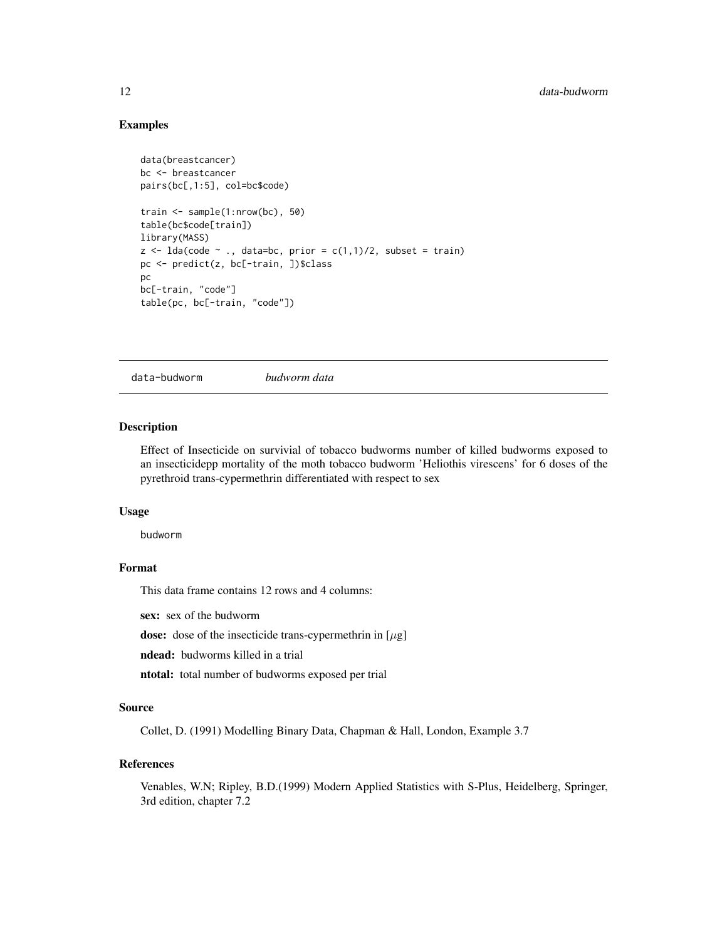### <span id="page-11-0"></span>Examples

```
data(breastcancer)
bc <- breastcancer
pairs(bc[,1:5], col=bc$code)
train <- sample(1:nrow(bc), 50)
table(bc$code[train])
library(MASS)
z \leq 1da(code \sim., data=bc, prior = c(1,1)/2, subset = train)
pc <- predict(z, bc[-train, ])$class
pc
bc[-train, "code"]
table(pc, bc[-train, "code"])
```
data-budworm *budworm data*

#### Description

Effect of Insecticide on survivial of tobacco budworms number of killed budworms exposed to an insecticidepp mortality of the moth tobacco budworm 'Heliothis virescens' for 6 doses of the pyrethroid trans-cypermethrin differentiated with respect to sex

#### Usage

budworm

# Format

This data frame contains 12 rows and 4 columns:

sex: sex of the budworm

dose: dose of the insecticide trans-cypermethrin in  $[\mu$ g]

ndead: budworms killed in a trial

ntotal: total number of budworms exposed per trial

#### Source

Collet, D. (1991) Modelling Binary Data, Chapman & Hall, London, Example 3.7

# References

Venables, W.N; Ripley, B.D.(1999) Modern Applied Statistics with S-Plus, Heidelberg, Springer, 3rd edition, chapter 7.2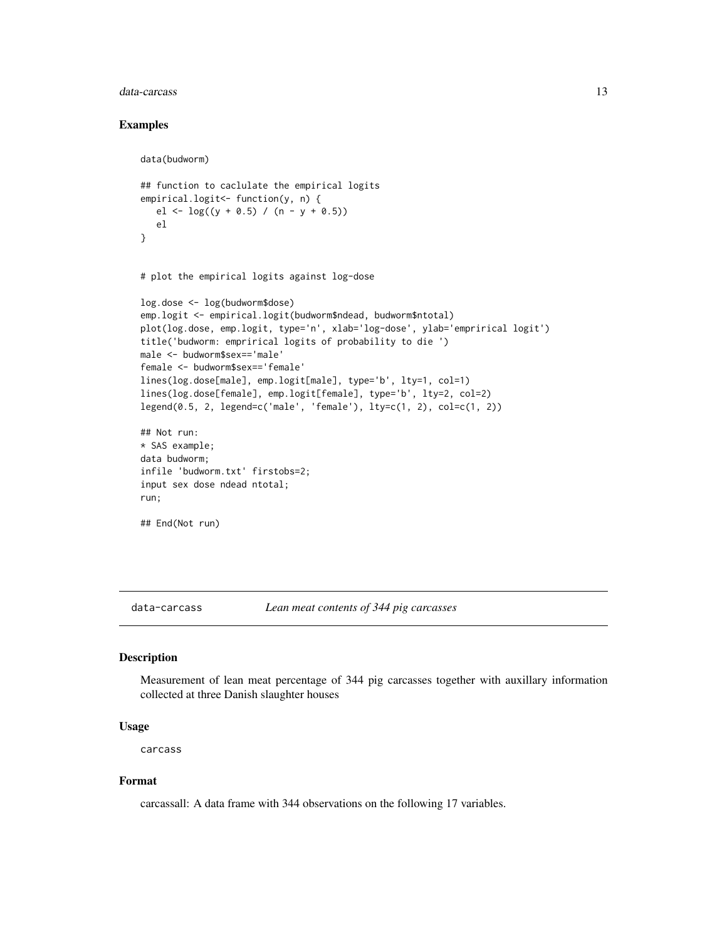#### <span id="page-12-0"></span>data-carcass and the state of the state of the state of the state of the state of the state of the state of the state of the state of the state of the state of the state of the state of the state of the state of the state

#### Examples

```
data(budworm)
## function to caclulate the empirical logits
empirical.logit<- function(y, n) {
  el <- \log((y + 0.5) / (n - y + 0.5))el
}
# plot the empirical logits against log-dose
log.dose <- log(budworm$dose)
emp.logit <- empirical.logit(budworm$ndead, budworm$ntotal)
plot(log.dose, emp.logit, type='n', xlab='log-dose', ylab='emprirical logit')
title('budworm: emprirical logits of probability to die ')
male <- budworm$sex=='male'
female <- budworm$sex=='female'
lines(log.dose[male], emp.logit[male], type='b', lty=1, col=1)
lines(log.dose[female], emp.logit[female], type='b', lty=2, col=2)
legend(0.5, 2, legend=c('male', 'female'), lty=c(1, 2), col=c(1, 2))
## Not run:
* SAS example;
data budworm;
infile 'budworm.txt' firstobs=2;
input sex dose ndead ntotal;
run;
## End(Not run)
```
data-carcass *Lean meat contents of 344 pig carcasses*

#### Description

Measurement of lean meat percentage of 344 pig carcasses together with auxillary information collected at three Danish slaughter houses

#### Usage

carcass

# Format

carcassall: A data frame with 344 observations on the following 17 variables.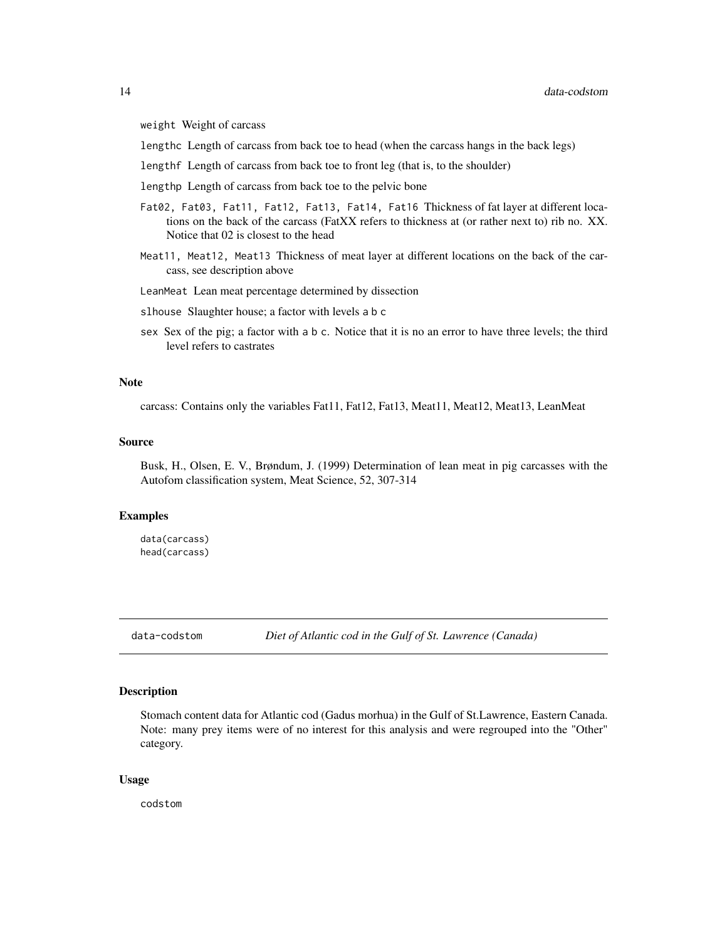<span id="page-13-0"></span>weight Weight of carcass

lengthc Length of carcass from back toe to head (when the carcass hangs in the back legs)

lengthf Length of carcass from back toe to front leg (that is, to the shoulder)

lengthp Length of carcass from back toe to the pelvic bone

- Fat02, Fat03, Fat11, Fat12, Fat13, Fat14, Fat16 Thickness of fat layer at different locations on the back of the carcass (FatXX refers to thickness at (or rather next to) rib no. XX. Notice that 02 is closest to the head
- Meat11, Meat12, Meat13 Thickness of meat layer at different locations on the back of the carcass, see description above

LeanMeat Lean meat percentage determined by dissection

slhouse Slaughter house; a factor with levels a b c

sex Sex of the pig; a factor with a b c. Notice that it is no an error to have three levels; the third level refers to castrates

#### **Note**

carcass: Contains only the variables Fat11, Fat12, Fat13, Meat11, Meat12, Meat13, LeanMeat

#### Source

Busk, H., Olsen, E. V., Brøndum, J. (1999) Determination of lean meat in pig carcasses with the Autofom classification system, Meat Science, 52, 307-314

#### Examples

data(carcass) head(carcass)

data-codstom *Diet of Atlantic cod in the Gulf of St. Lawrence (Canada)*

#### Description

Stomach content data for Atlantic cod (Gadus morhua) in the Gulf of St.Lawrence, Eastern Canada. Note: many prey items were of no interest for this analysis and were regrouped into the "Other" category.

#### Usage

codstom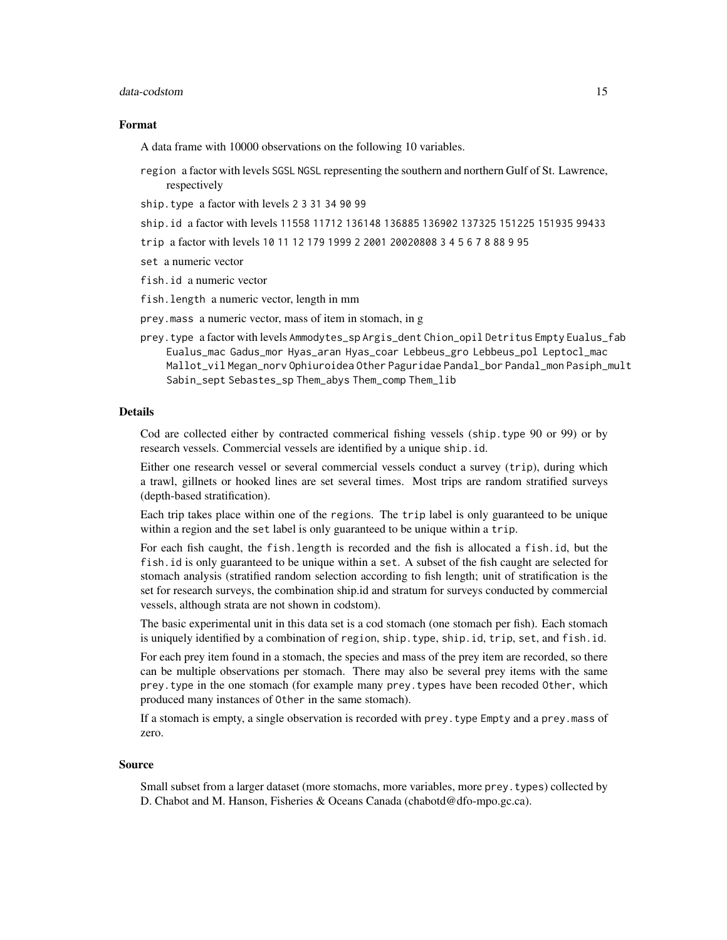#### data-codstom 15

#### Format

A data frame with 10000 observations on the following 10 variables.

- region a factor with levels SGSL NGSL representing the southern and northern Gulf of St. Lawrence, respectively
- ship.type a factor with levels 2 3 31 34 90 99
- ship.id a factor with levels 11558 11712 136148 136885 136902 137325 151225 151935 99433
- trip a factor with levels 10 11 12 179 1999 2 2001 20020808 3 4 5 6 7 8 88 9 95
- set a numeric vector
- fish.id a numeric vector
- fish.length a numeric vector, length in mm
- prey.mass a numeric vector, mass of item in stomach, in g
- prey.type a factor with levels Ammodytes\_sp Argis\_dent Chion\_opil Detritus Empty Eualus\_fab Eualus\_mac Gadus\_mor Hyas\_aran Hyas\_coar Lebbeus\_gro Lebbeus\_pol Leptocl\_mac Mallot\_vil Megan\_norv Ophiuroidea Other Paguridae Pandal\_bor Pandal\_mon Pasiph\_mult Sabin\_sept Sebastes\_sp Them\_abys Them\_comp Them\_lib

# Details

Cod are collected either by contracted commerical fishing vessels (ship.type 90 or 99) or by research vessels. Commercial vessels are identified by a unique ship.id.

Either one research vessel or several commercial vessels conduct a survey (trip), during which a trawl, gillnets or hooked lines are set several times. Most trips are random stratified surveys (depth-based stratification).

Each trip takes place within one of the regions. The trip label is only guaranteed to be unique within a region and the set label is only guaranteed to be unique within a trip.

For each fish caught, the fish.length is recorded and the fish is allocated a fish.id, but the fish.id is only guaranteed to be unique within a set. A subset of the fish caught are selected for stomach analysis (stratified random selection according to fish length; unit of stratification is the set for research surveys, the combination ship.id and stratum for surveys conducted by commercial vessels, although strata are not shown in codstom).

The basic experimental unit in this data set is a cod stomach (one stomach per fish). Each stomach is uniquely identified by a combination of region, ship.type, ship.id, trip, set, and fish.id.

For each prey item found in a stomach, the species and mass of the prey item are recorded, so there can be multiple observations per stomach. There may also be several prey items with the same prey.type in the one stomach (for example many prey.types have been recoded Other, which produced many instances of Other in the same stomach).

If a stomach is empty, a single observation is recorded with prey.type Empty and a prey.mass of zero.

#### Source

Small subset from a larger dataset (more stomachs, more variables, more prey.types) collected by D. Chabot and M. Hanson, Fisheries & Oceans Canada (chabotd@dfo-mpo.gc.ca).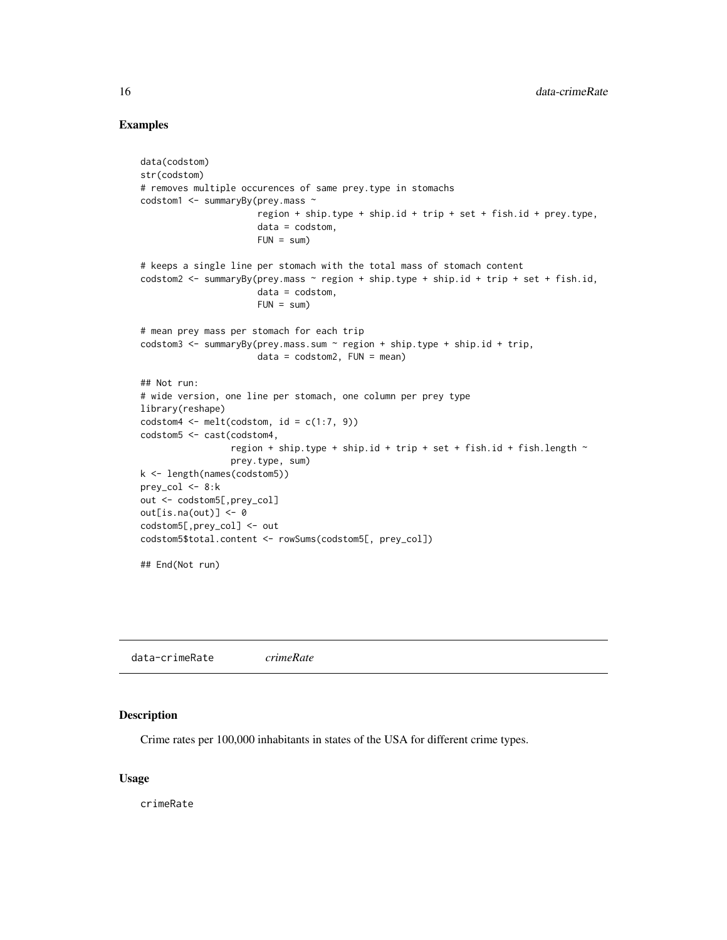### Examples

```
data(codstom)
str(codstom)
# removes multiple occurences of same prey.type in stomachs
codstom1 <- summaryBy(prey.mass ~
                      region + ship.type + ship.id + trip + set + fish.id + prey.type,
                      data = codstom,
                      FUN = sum)# keeps a single line per stomach with the total mass of stomach content
codstom2 <- summaryBy(prey.mass \sim region + ship.type + ship.id + trip + set + fish.id,
                      data = codstom,
                      FUN = sum# mean prey mass per stomach for each trip
codstom3 <- summaryBy(prey.mass.sum ~ region + ship.type + ship.id + trip,
                      data = codstom2, FUN = mean)## Not run:
# wide version, one line per stomach, one column per prey type
library(reshape)
codstom4 \leq \text{melt}(codstom, id = c(1:7, 9))codstom5 <- cast(codstom4,
                 region + ship.type + ship.id + trip + set + fish.id + fish.length \simprey.type, sum)
k <- length(names(codstom5))
prey_col <- 8:k
out <- codstom5[,prey_col]
out[is.na(out)] <- 0
codstom5[,prey_col] <- out
codstom5$total.content <- rowSums(codstom5[, prey_col])
## End(Not run)
```
data-crimeRate *crimeRate*

#### Description

Crime rates per 100,000 inhabitants in states of the USA for different crime types.

#### Usage

crimeRate

<span id="page-15-0"></span>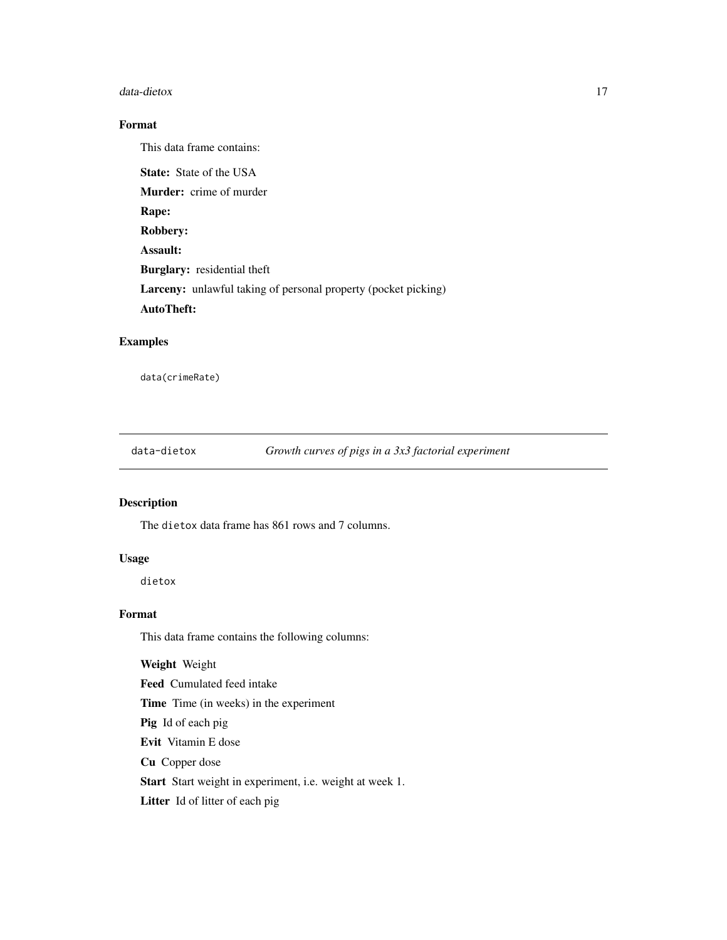#### <span id="page-16-0"></span>data-dietox 17

# Format

This data frame contains:

State: State of the USA Murder: crime of murder Rape: Robbery: Assault: Burglary: residential theft Larceny: unlawful taking of personal property (pocket picking) AutoTheft:

# Examples

data(crimeRate)

data-dietox *Growth curves of pigs in a 3x3 factorial experiment*

# Description

The dietox data frame has 861 rows and 7 columns.

# Usage

dietox

# Format

This data frame contains the following columns:

Weight Weight

Feed Cumulated feed intake

Time Time (in weeks) in the experiment

Pig Id of each pig

Evit Vitamin E dose

Cu Copper dose

Start Start weight in experiment, i.e. weight at week 1.

Litter Id of litter of each pig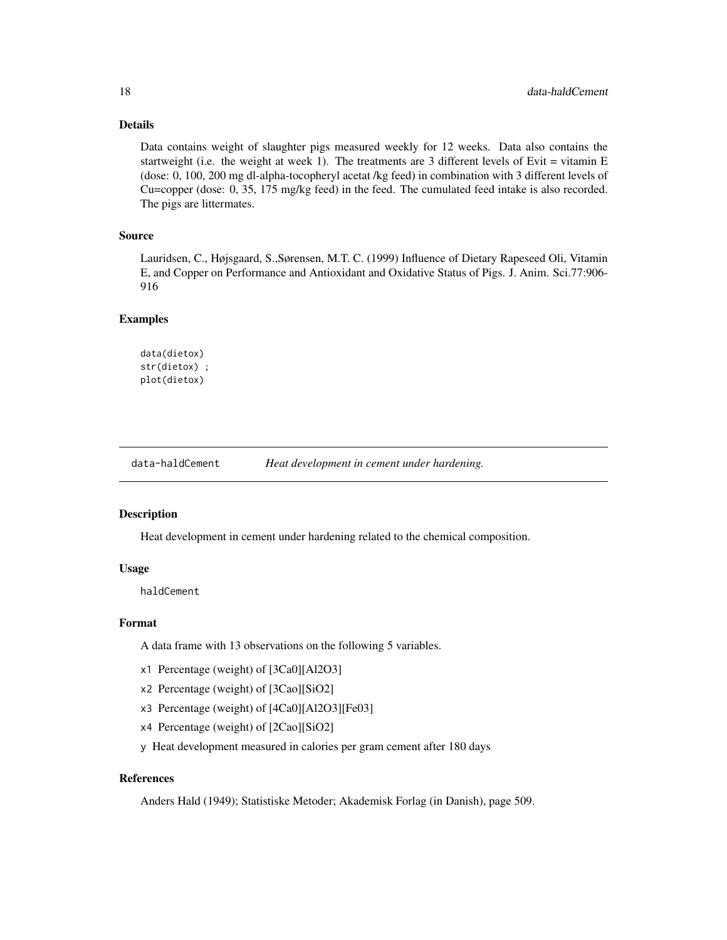# Details

Data contains weight of slaughter pigs measured weekly for 12 weeks. Data also contains the startweight (i.e. the weight at week 1). The treatments are 3 different levels of Evit  $=$  vitamin E (dose: 0, 100, 200 mg dl-alpha-tocopheryl acetat /kg feed) in combination with 3 different levels of Cu=copper (dose: 0, 35, 175 mg/kg feed) in the feed. The cumulated feed intake is also recorded. The pigs are littermates.

# Source

Lauridsen, C., Højsgaard, S.,Sørensen, M.T. C. (1999) Influence of Dietary Rapeseed Oli, Vitamin E, and Copper on Performance and Antioxidant and Oxidative Status of Pigs. J. Anim. Sci.77:906- 916

#### Examples

```
data(dietox)
str(dietox) ;
plot(dietox)
```
data-haldCement *Heat development in cement under hardening.*

#### Description

Heat development in cement under hardening related to the chemical composition.

#### Usage

haldCement

#### Format

A data frame with 13 observations on the following 5 variables.

- x1 Percentage (weight) of [3Ca0][Al2O3]
- x2 Percentage (weight) of [3Cao][SiO2]
- x3 Percentage (weight) of [4Ca0][Al2O3][Fe03]
- x4 Percentage (weight) of [2Cao][SiO2]
- y Heat development measured in calories per gram cement after 180 days

# References

Anders Hald (1949); Statistiske Metoder; Akademisk Forlag (in Danish), page 509.

<span id="page-17-0"></span>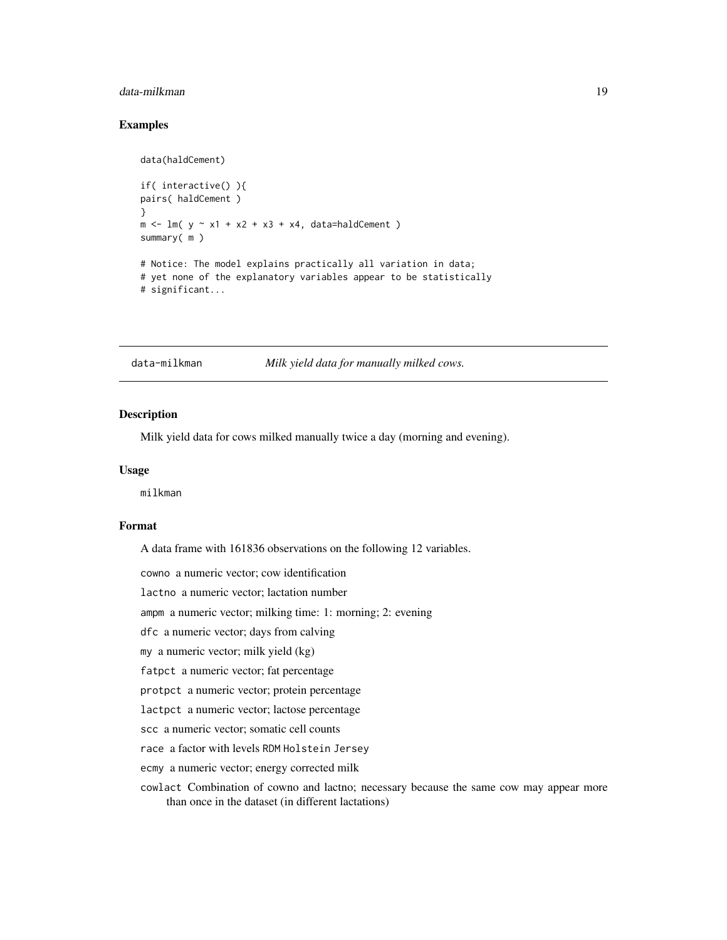# <span id="page-18-0"></span>data-milkman 19

# Examples

data(haldCement)

```
if( interactive() ){
pairs( haldCement )
}
m \le - \ln( y \sim x1 + x2 + x3 + x4, \text{ data=haldCement } )summary( m )
# Notice: The model explains practically all variation in data;
# yet none of the explanatory variables appear to be statistically
# significant...
```
data-milkman *Milk yield data for manually milked cows.*

# Description

Milk yield data for cows milked manually twice a day (morning and evening).

#### Usage

milkman

#### Format

A data frame with 161836 observations on the following 12 variables.

cowno a numeric vector; cow identification

lactno a numeric vector; lactation number

ampm a numeric vector; milking time: 1: morning; 2: evening

dfc a numeric vector; days from calving

my a numeric vector; milk yield (kg)

fatpct a numeric vector; fat percentage

protpct a numeric vector; protein percentage

lactpct a numeric vector; lactose percentage

scc a numeric vector; somatic cell counts

race a factor with levels RDM Holstein Jersey

ecmy a numeric vector; energy corrected milk

cowlact Combination of cowno and lactno; necessary because the same cow may appear more than once in the dataset (in different lactations)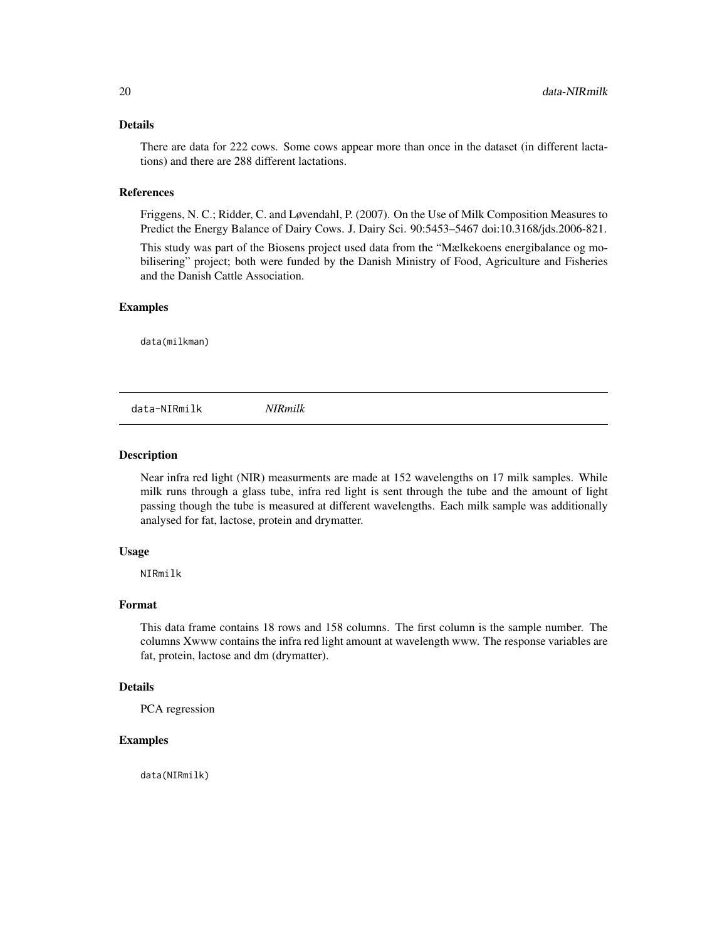# <span id="page-19-0"></span>Details

There are data for 222 cows. Some cows appear more than once in the dataset (in different lactations) and there are 288 different lactations.

#### References

Friggens, N. C.; Ridder, C. and Løvendahl, P. (2007). On the Use of Milk Composition Measures to Predict the Energy Balance of Dairy Cows. J. Dairy Sci. 90:5453–5467 doi:10.3168/jds.2006-821.

This study was part of the Biosens project used data from the "Mælkekoens energibalance og mobilisering" project; both were funded by the Danish Ministry of Food, Agriculture and Fisheries and the Danish Cattle Association.

# Examples

data(milkman)

data-NIRmilk *NIRmilk*

# **Description**

Near infra red light (NIR) measurments are made at 152 wavelengths on 17 milk samples. While milk runs through a glass tube, infra red light is sent through the tube and the amount of light passing though the tube is measured at different wavelengths. Each milk sample was additionally analysed for fat, lactose, protein and drymatter.

#### Usage

NIRmilk

#### Format

This data frame contains 18 rows and 158 columns. The first column is the sample number. The columns Xwww contains the infra red light amount at wavelength www. The response variables are fat, protein, lactose and dm (drymatter).

# Details

PCA regression

#### Examples

data(NIRmilk)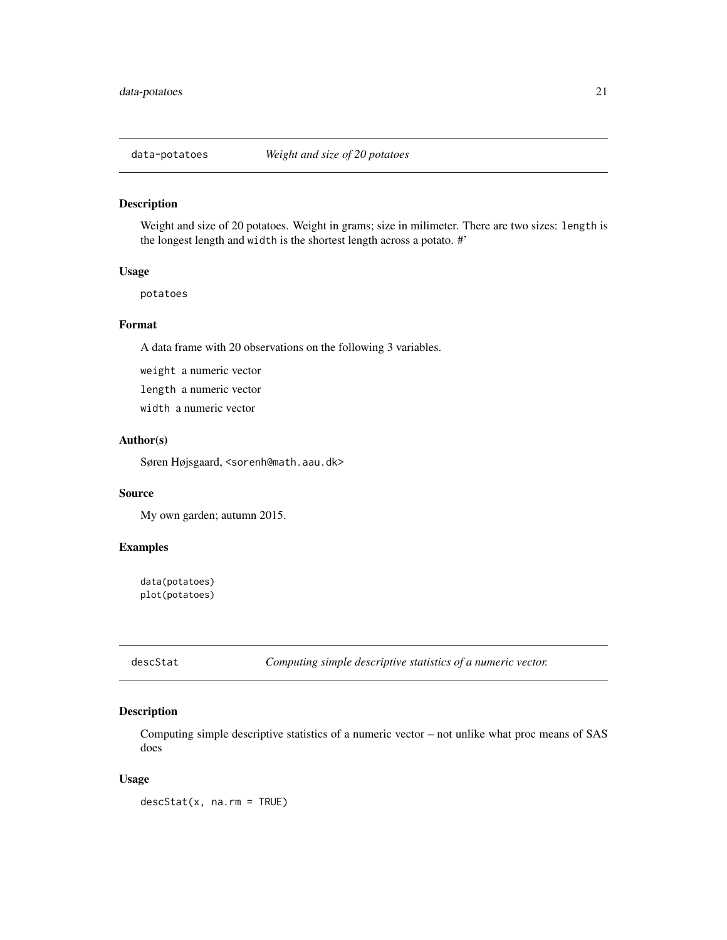<span id="page-20-0"></span>

# Description

Weight and size of 20 potatoes. Weight in grams; size in milimeter. There are two sizes: length is the longest length and width is the shortest length across a potato. #'

#### Usage

potatoes

# Format

A data frame with 20 observations on the following 3 variables.

weight a numeric vector

length a numeric vector

width a numeric vector

# Author(s)

Søren Højsgaard, <sorenh@math.aau.dk>

#### Source

My own garden; autumn 2015.

# Examples

data(potatoes) plot(potatoes)

<span id="page-20-1"></span>descStat *Computing simple descriptive statistics of a numeric vector.*

# Description

Computing simple descriptive statistics of a numeric vector – not unlike what proc means of SAS does

#### Usage

 $descStat(x, na.rm = TRUE)$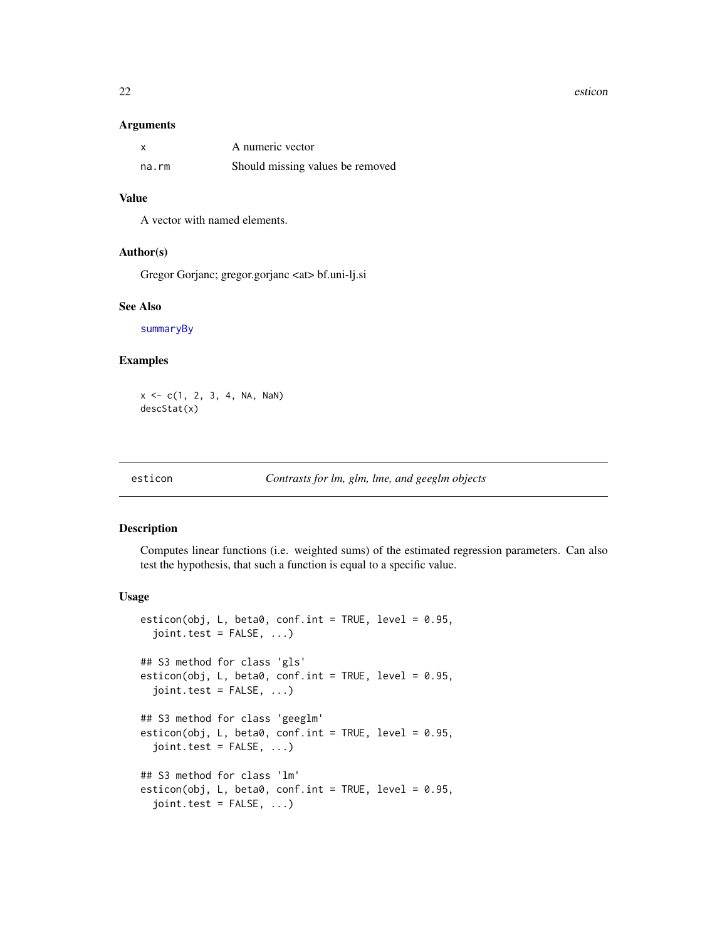#### <span id="page-21-0"></span>22 esticon esticon esticon esticon esticon esticon esticon esticon esticon esticon esticon esticon esticon esticon esticon esticon esticon esticon esticon esticon esticon esticon esticon esticon esticon esticon esticon est

#### Arguments

|       | A numeric vector                 |
|-------|----------------------------------|
| na.rm | Should missing values be removed |

# Value

A vector with named elements.

#### Author(s)

Gregor Gorjanc; gregor.gorjanc <at> bf.uni-lj.si

# See Also

[summaryBy](#page-6-1)

# Examples

 $x \leq -c(1, 2, 3, 4, NA, Nan)$ descStat(x)

#### esticon *Contrasts for lm, glm, lme, and geeglm objects*

# Description

Computes linear functions (i.e. weighted sums) of the estimated regression parameters. Can also test the hypothesis, that such a function is equal to a specific value.

#### Usage

```
esticon(obj, L, beta0, conf.int = TRUE, level = 0.95,
  joint.test = FALSE, ...)## S3 method for class 'gls'
esticon(obj, L, beta0, conf.int = TRUE, level = 0.95,
  joint.test = FALSE, ...)## S3 method for class 'geeglm'
esticon(obj, L, beta0, conf.int = TRUE, level = 0.95,
  joint.test = FALSE, ...)## S3 method for class 'lm'
esticon(obj, L, beta0, conf.int = TRUE, level = 0.95,
  joint.test = FALSE, ...)
```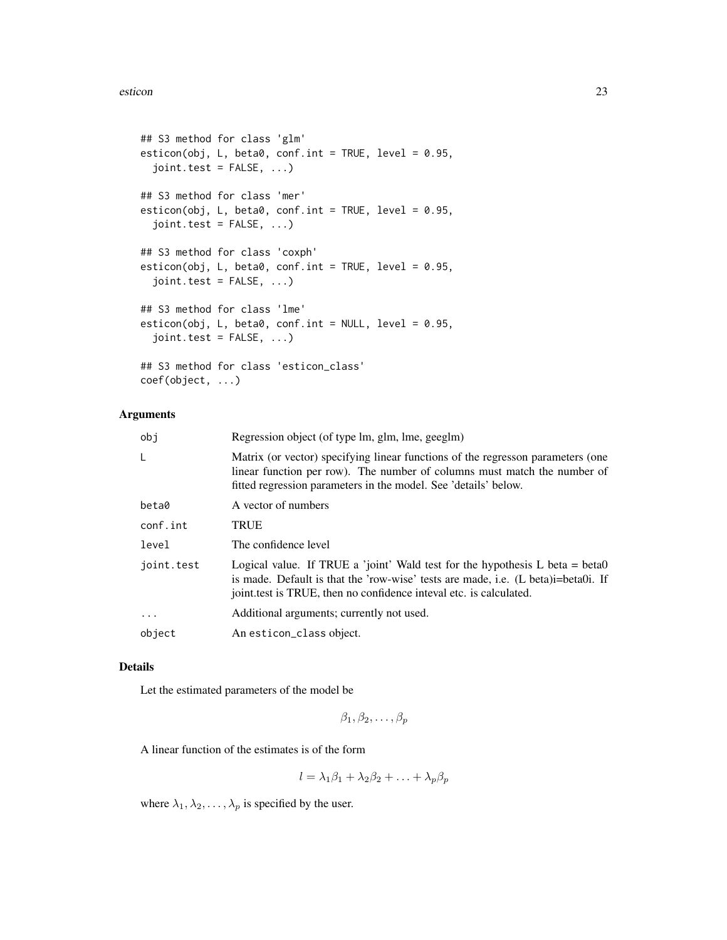```
## S3 method for class 'glm'
esticon(obj, L, beta0, conf.int = TRUE, level = 0.95,
  joint.test = FALSE, ...)## S3 method for class 'mer'
esticon(obj, L, beta0, conf.int = TRUE, level = 0.95,
  joint.test = FALSE, ...)## S3 method for class 'coxph'
esticon(obj, L, beta0, conf.int = TRUE, level = 0.95,
  joint.test = FALSE, ...)## S3 method for class 'lme'
esticon(obj, L, beta0, conf.int = NULL, level = 0.95,
  joint.test = FALSE, ...)
## S3 method for class 'esticon_class'
coef(object, ...)
```
# Arguments

| obi        | Regression object (of type lm, glm, lme, geeglm)                                                                                                                                                                                          |
|------------|-------------------------------------------------------------------------------------------------------------------------------------------------------------------------------------------------------------------------------------------|
| L          | Matrix (or vector) specifying linear functions of the regresson parameters (one<br>linear function per row). The number of columns must match the number of<br>fitted regression parameters in the model. See 'details' below.            |
| beta0      | A vector of numbers                                                                                                                                                                                                                       |
| conf.int   | <b>TRUE</b>                                                                                                                                                                                                                               |
| level      | The confidence level                                                                                                                                                                                                                      |
| joint.test | Logical value. If TRUE a 'joint' Wald test for the hypothesis $L$ beta = beta0<br>is made. Default is that the 'row-wise' tests are made, i.e. (L beta)i=beta0i. If<br>joint.test is TRUE, then no confidence inteval etc. is calculated. |
| $\ddots$   | Additional arguments; currently not used.                                                                                                                                                                                                 |
| object     | An esticon_class object.                                                                                                                                                                                                                  |
|            |                                                                                                                                                                                                                                           |

#### Details

Let the estimated parameters of the model be

 $\beta_1, \beta_2, \ldots, \beta_p$ 

A linear function of the estimates is of the form

$$
l = \lambda_1 \beta_1 + \lambda_2 \beta_2 + \ldots + \lambda_p \beta_p
$$

where  $\lambda_1, \lambda_2, \ldots, \lambda_p$  is specified by the user.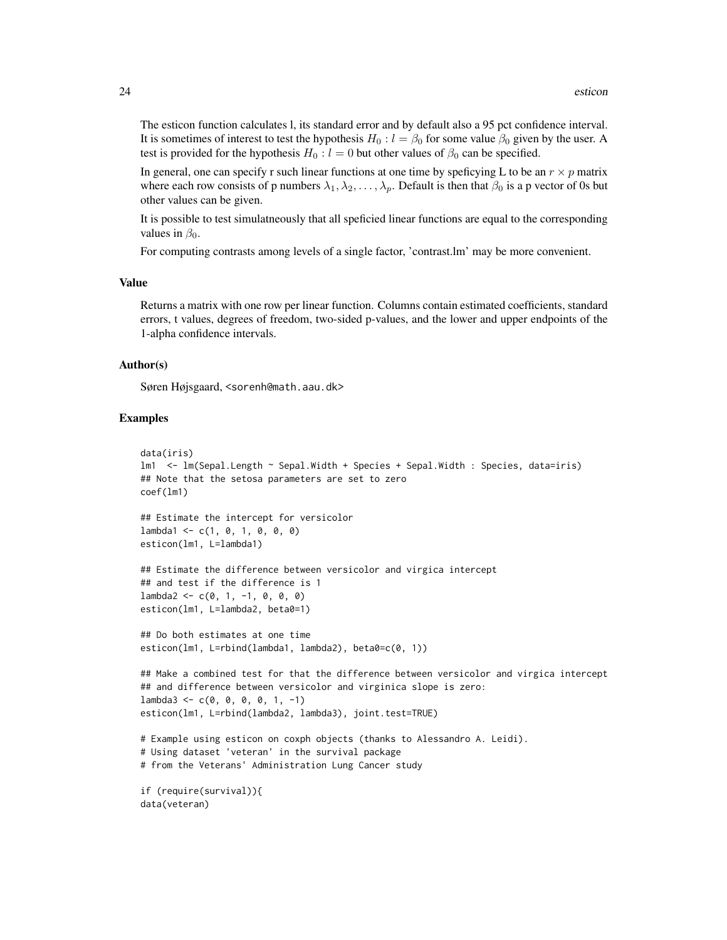The esticon function calculates l, its standard error and by default also a 95 pct confidence interval. It is sometimes of interest to test the hypothesis  $H_0 : l = \beta_0$  for some value  $\beta_0$  given by the user. A test is provided for the hypothesis  $H_0 : l = 0$  but other values of  $\beta_0$  can be specified.

In general, one can specify r such linear functions at one time by speficying L to be an  $r \times p$  matrix where each row consists of p numbers  $\lambda_1, \lambda_2, \ldots, \lambda_p$ . Default is then that  $\beta_0$  is a p vector of 0s but other values can be given.

It is possible to test simulatneously that all speficied linear functions are equal to the corresponding values in  $\beta_0$ .

For computing contrasts among levels of a single factor, 'contrast.lm' may be more convenient.

#### Value

Returns a matrix with one row per linear function. Columns contain estimated coefficients, standard errors, t values, degrees of freedom, two-sided p-values, and the lower and upper endpoints of the 1-alpha confidence intervals.

# Author(s)

Søren Højsgaard, <sorenh@math.aau.dk>

```
data(iris)
lm1 <- lm(Sepal.Length ~ Sepal.Width + Species + Sepal.Width : Species, data=iris)
## Note that the setosa parameters are set to zero
coef(lm1)
## Estimate the intercept for versicolor
lambda1 \leftarrow c(1, 0, 1, 0, 0, 0)esticon(lm1, L=lambda1)
## Estimate the difference between versicolor and virgica intercept
## and test if the difference is 1
lambda2 < -c(0, 1, -1, 0, 0, 0)esticon(lm1, L=lambda2, beta0=1)
## Do both estimates at one time
esticon(lm1, L=rbind(lambda1, lambda2), beta0=c(0, 1))
## Make a combined test for that the difference between versicolor and virgica intercept
## and difference between versicolor and virginica slope is zero:
lambda3 \leq c(0, 0, 0, 0, 1, -1)esticon(lm1, L=rbind(lambda2, lambda3), joint.test=TRUE)
# Example using esticon on coxph objects (thanks to Alessandro A. Leidi).
# Using dataset 'veteran' in the survival package
# from the Veterans' Administration Lung Cancer study
```

```
if (require(survival)){
data(veteran)
```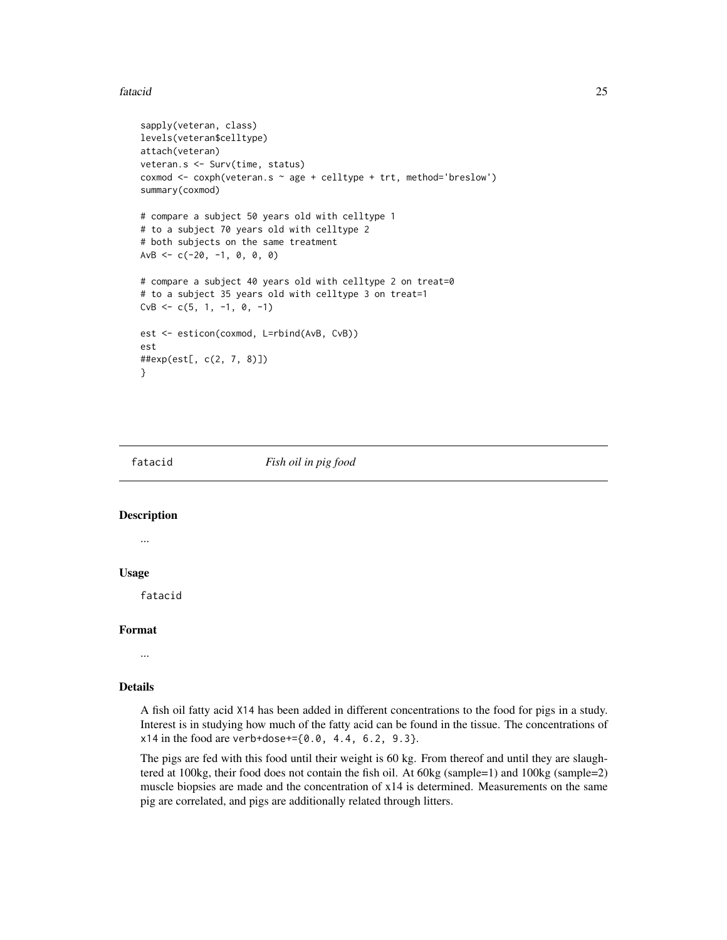#### <span id="page-24-0"></span>fatacid 25

```
sapply(veteran, class)
levels(veteran$celltype)
attach(veteran)
veteran.s <- Surv(time, status)
coxmod <- coxph(veteran.s ~ age + celltype + trt, method='breslow')
summary(coxmod)
# compare a subject 50 years old with celltype 1
# to a subject 70 years old with celltype 2
# both subjects on the same treatment
AvB \leq -c(-20, -1, 0, 0, 0)# compare a subject 40 years old with celltype 2 on treat=0
# to a subject 35 years old with celltype 3 on treat=1
CvB \leq -c(5, 1, -1, 0, -1)est <- esticon(coxmod, L=rbind(AvB, CvB))
est
##exp(est[, c(2, 7, 8)])
}
```
#### fatacid *Fish oil in pig food*

# Description

...

# Usage

fatacid

#### Format

...

# Details

A fish oil fatty acid X14 has been added in different concentrations to the food for pigs in a study. Interest is in studying how much of the fatty acid can be found in the tissue. The concentrations of  $x14$  in the food are verb+dose+= $\{0.0, 4.4, 6.2, 9.3\}.$ 

The pigs are fed with this food until their weight is 60 kg. From thereof and until they are slaughtered at 100kg, their food does not contain the fish oil. At 60kg (sample=1) and 100kg (sample=2) muscle biopsies are made and the concentration of x14 is determined. Measurements on the same pig are correlated, and pigs are additionally related through litters.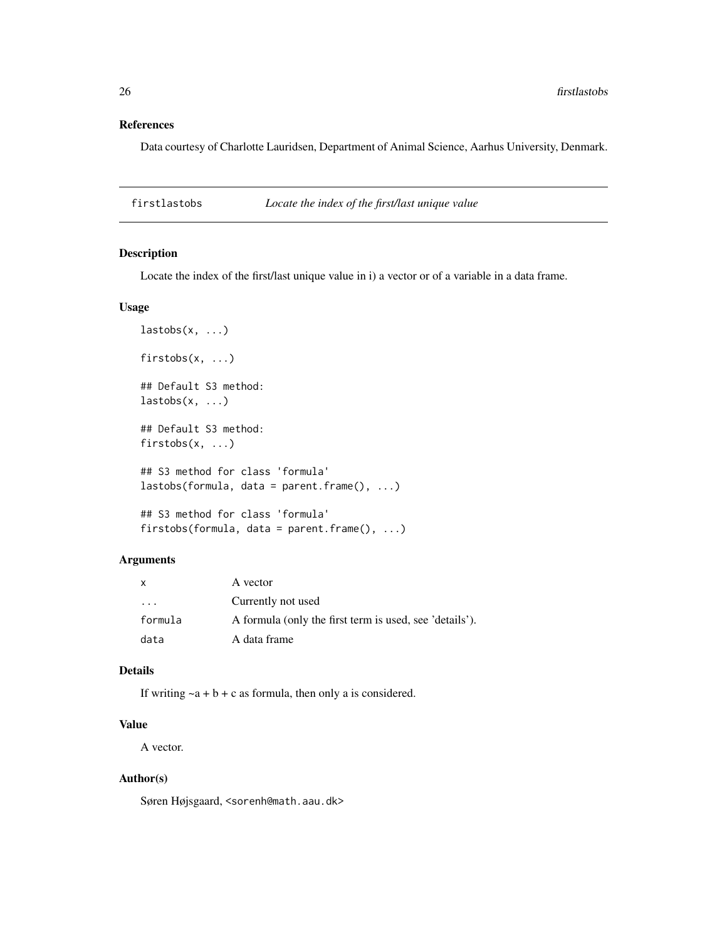# References

Data courtesy of Charlotte Lauridsen, Department of Animal Science, Aarhus University, Denmark.

firstlastobs *Locate the index of the first/last unique value*

# Description

Locate the index of the first/last unique value in i) a vector or of a variable in a data frame.

# Usage

```
lastobs(x, \ldots)firstobs(x, ...)
## Default S3 method:
lastobs(x, \ldots)## Default S3 method:
firstobs(x, ...)
## S3 method for class 'formula'
lastobs(formula, data = parent.frame(), ...)
## S3 method for class 'formula'
firstobs(formula, data = parent.frame(), ...)
```
#### Arguments

| X        | A vector                                                |
|----------|---------------------------------------------------------|
| $\cdots$ | Currently not used                                      |
| formula  | A formula (only the first term is used, see 'details'). |
| data     | A data frame                                            |

#### Details

If writing  $\sim a + b + c$  as formula, then only a is considered.

# Value

A vector.

# Author(s)

Søren Højsgaard, <sorenh@math.aau.dk>

<span id="page-25-0"></span>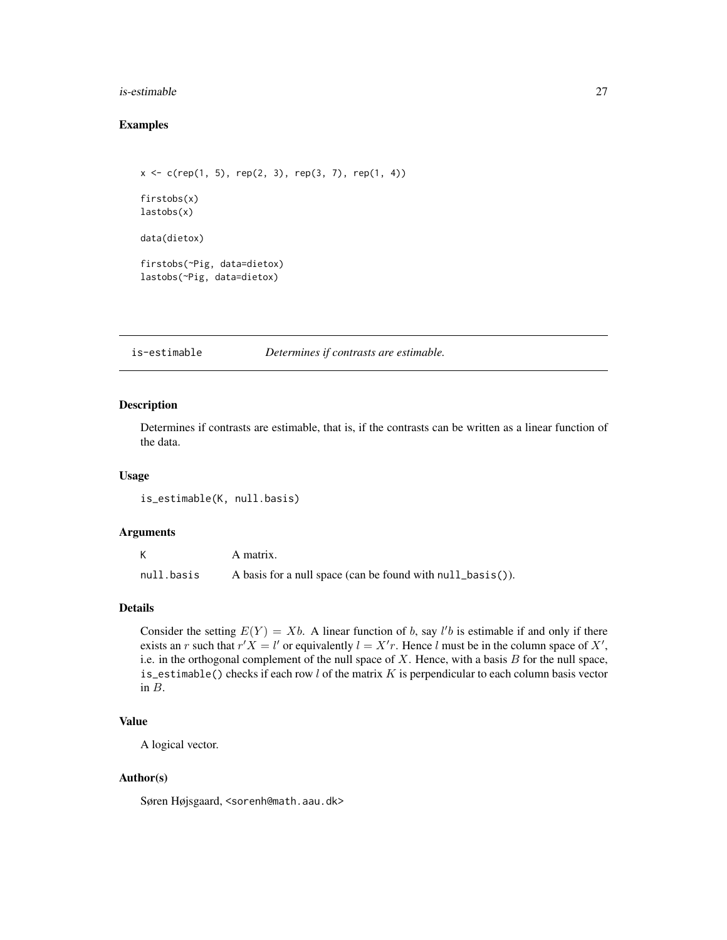#### <span id="page-26-0"></span>is-estimable 27

# Examples

```
x \leq c(rep(1, 5), rep(2, 3), rep(3, 7), rep(1, 4))
firstobs(x)
lastobs(x)
data(dietox)
firstobs(~Pig, data=dietox)
lastobs(~Pig, data=dietox)
```
is-estimable *Determines if contrasts are estimable.*

# Description

Determines if contrasts are estimable, that is, if the contrasts can be written as a linear function of the data.

# Usage

```
is_estimable(K, null.basis)
```
#### Arguments

|            | A matrix.                                                  |
|------------|------------------------------------------------------------|
| null.basis | A basis for a null space (can be found with null_basis()). |

# Details

Consider the setting  $E(Y) = Xb$ . A linear function of b, say l'b is estimable if and only if there exists an r such that  $r'X = l'$  or equivalently  $l = X'r$ . Hence l must be in the column space of X', i.e. in the orthogonal complement of the null space of  $X$ . Hence, with a basis  $B$  for the null space, is\_estimable() checks if each row  $l$  of the matrix  $K$  is perpendicular to each column basis vector in B.

# Value

A logical vector.

# Author(s)

Søren Højsgaard, <sorenh@math.aau.dk>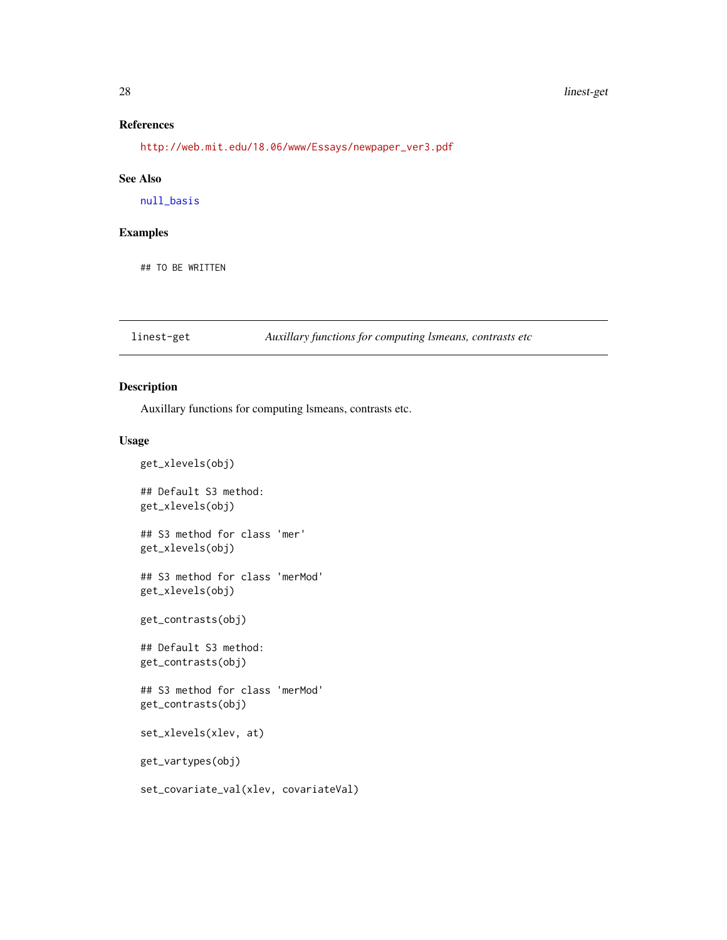#### <span id="page-27-0"></span>28 linest-get

# References

[http://web.mit.edu/18.06/www/Essays/newpaper\\_ver3.pdf](http://web.mit.edu/18.06/www/Essays/newpaper_ver3.pdf)

#### See Also

[null\\_basis](#page-33-1)

# Examples

## TO BE WRITTEN

linest-get *Auxillary functions for computing lsmeans, contrasts etc*

# Description

Auxillary functions for computing lsmeans, contrasts etc.

#### Usage

```
get_xlevels(obj)
## Default S3 method:
get_xlevels(obj)
## S3 method for class 'mer'
get_xlevels(obj)
## S3 method for class 'merMod'
get_xlevels(obj)
get_contrasts(obj)
## Default S3 method:
get_contrasts(obj)
## S3 method for class 'merMod'
get_contrasts(obj)
set_xlevels(xlev, at)
get_vartypes(obj)
set_covariate_val(xlev, covariateVal)
```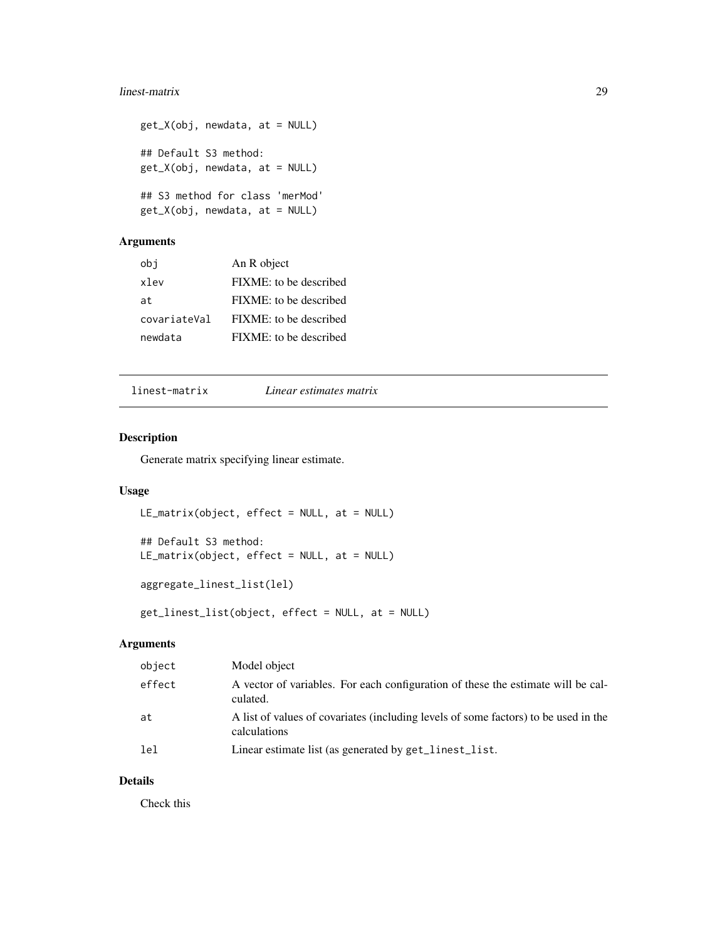# <span id="page-28-0"></span>linest-matrix 29

```
get_X(obj, newdata, at = NULL)
## Default S3 method:
get_X(obj, newdata, at = NULL)
## S3 method for class 'merMod'
get_X(obj, newdata, at = NULL)
```
# Arguments

| obi          | An R object            |
|--------------|------------------------|
| xlev         | FIXME: to be described |
| at.          | FIXME: to be described |
| covariateVal | FIXME: to be described |
| newdata      | FIXME: to be described |

linest-matrix *Linear estimates matrix*

# <span id="page-28-1"></span>Description

Generate matrix specifying linear estimate.

# Usage

```
LE_matrix(object, effect = NULL, at = NULL)
## Default S3 method:
LE_matrix(object, effect = NULL, at = NULL)
aggregate_linest_list(lel)
```
get\_linest\_list(object, effect = NULL, at = NULL)

# Arguments

| object | Model object                                                                                        |
|--------|-----------------------------------------------------------------------------------------------------|
| effect | A vector of variables. For each configuration of these the estimate will be cal-<br>culated.        |
| at     | A list of values of covariates (including levels of some factors) to be used in the<br>calculations |
| lel    | Linear estimate list (as generated by get_linest_list.                                              |

# Details

Check this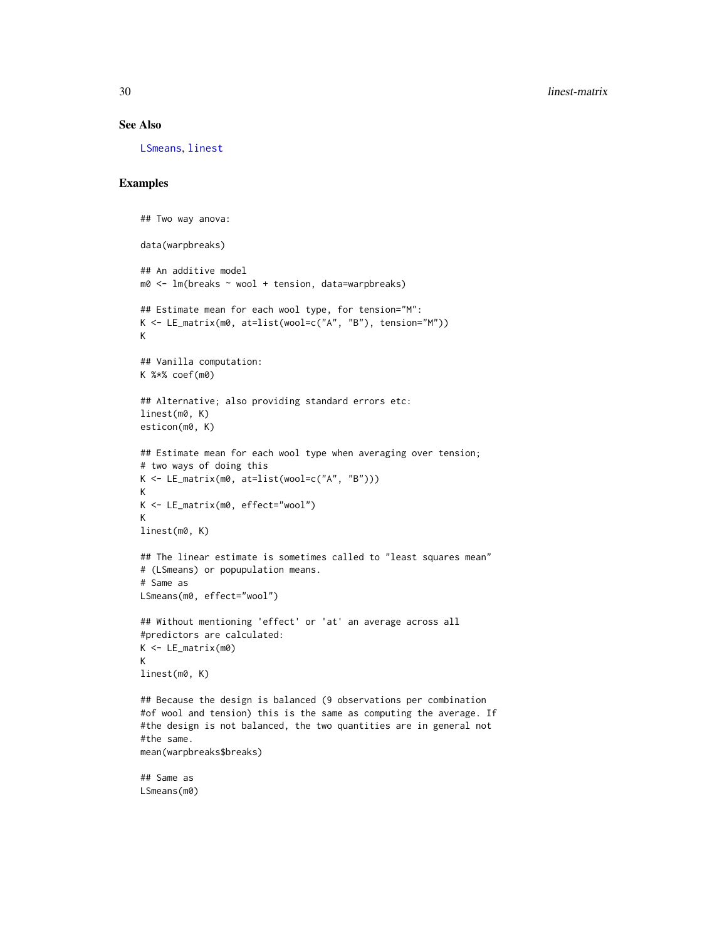#### See Also

[LSmeans](#page-30-1), [linest](#page-39-1)

```
## Two way anova:
data(warpbreaks)
## An additive model
m0 <- lm(breaks ~ wool + tension, data=warpbreaks)
## Estimate mean for each wool type, for tension="M":
K <- LE_matrix(m0, at=list(wool=c("A", "B"), tension="M"))
K
## Vanilla computation:
K %*% coef(m0)
## Alternative; also providing standard errors etc:
linest(m0, K)
esticon(m0, K)
## Estimate mean for each wool type when averaging over tension;
# two ways of doing this
K <- LE_matrix(m0, at=list(wool=c("A", "B")))
K
K <- LE_matrix(m0, effect="wool")
K
linest(m0, K)
## The linear estimate is sometimes called to "least squares mean"
# (LSmeans) or popupulation means.
# Same as
LSmeans(m0, effect="wool")
## Without mentioning 'effect' or 'at' an average across all
#predictors are calculated:
K < - LE_matrix(m0)
K
linest(m0, K)
## Because the design is balanced (9 observations per combination
#of wool and tension) this is the same as computing the average. If
#the design is not balanced, the two quantities are in general not
#the same.
mean(warpbreaks$breaks)
## Same as
LSmeans(m0)
```
<span id="page-29-0"></span>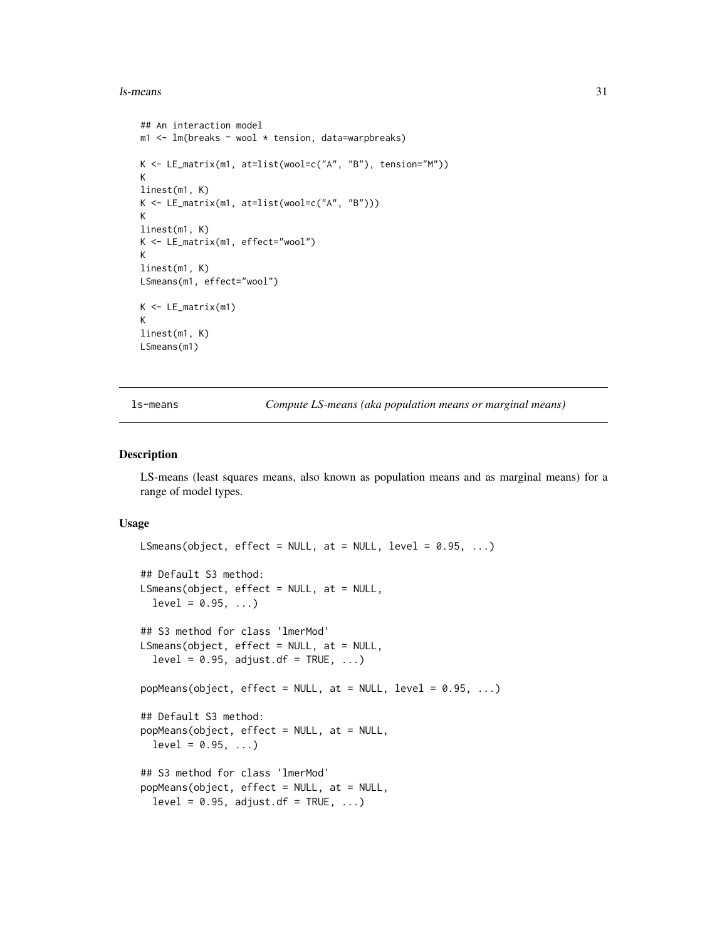#### <span id="page-30-0"></span> $\lambda$ s-means  $\lambda$ 31

```
## An interaction model
m1 <- lm(breaks \sim wool \star tension, data=warpbreaks)
K <- LE_matrix(m1, at=list(wool=c("A", "B"), tension="M"))
K
linest(m1, K)
K <- LE_matrix(m1, at=list(wool=c("A", "B")))
K
linest(m1, K)
K <- LE_matrix(m1, effect="wool")
K
linest(m1, K)
LSmeans(m1, effect="wool")
K <- LE_matrix(m1)
K
linest(m1, K)
LSmeans(m1)
```
ls-means *Compute LS-means (aka population means or marginal means)*

#### <span id="page-30-1"></span>Description

LS-means (least squares means, also known as population means and as marginal means) for a range of model types.

#### Usage

```
LSmeans(object, effect = NULL, at = NULL, level = 0.95, ...)
## Default S3 method:
LSmeans(object, effect = NULL, at = NULL,
 level = 0.95, ...## S3 method for class 'lmerMod'
LSmeans(object, effect = NULL, at = NULL,
  level = 0.95, adjustcdf = TRUE, ...)popMeans(objject, effect = NULL, at = NULL, level = 0.95, ...)## Default S3 method:
popMeans(object, effect = NULL, at = NULL,
  level = 0.95, ...## S3 method for class 'lmerMod'
popMeans(object, effect = NULL, at = NULL,
  level = 0.95, adjust df = TRUE, ...)
```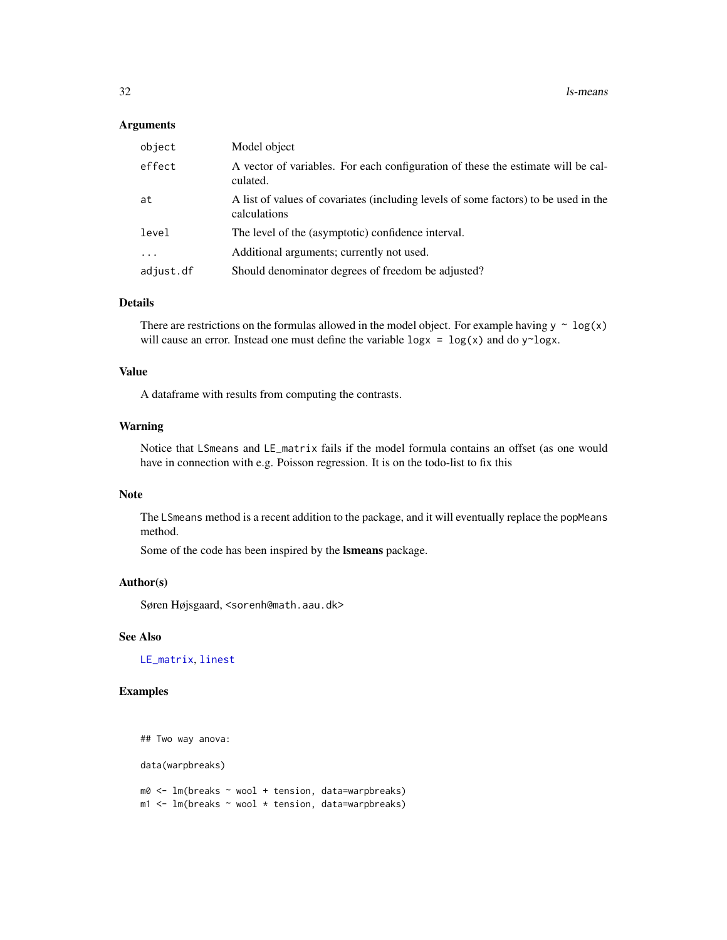#### <span id="page-31-0"></span>Arguments

| object    | Model object                                                                                        |
|-----------|-----------------------------------------------------------------------------------------------------|
| effect    | A vector of variables. For each configuration of these the estimate will be cal-<br>culated.        |
| at        | A list of values of covariates (including levels of some factors) to be used in the<br>calculations |
| level     | The level of the (asymptotic) confidence interval.                                                  |
| $\ddotsc$ | Additional arguments; currently not used.                                                           |
| adjust.df | Should denominator degrees of freedom be adjusted?                                                  |

#### Details

There are restrictions on the formulas allowed in the model object. For example having  $y \sim \log(x)$ will cause an error. Instead one must define the variable  $\log x = \log(x)$  and do y~logx.

# Value

A dataframe with results from computing the contrasts.

#### Warning

Notice that LSmeans and LE\_matrix fails if the model formula contains an offset (as one would have in connection with e.g. Poisson regression. It is on the todo-list to fix this

#### Note

The LSmeans method is a recent addition to the package, and it will eventually replace the popMeans method.

Some of the code has been inspired by the lsmeans package.

#### Author(s)

Søren Højsgaard, <sorenh@math.aau.dk>

# See Also

[LE\\_matrix](#page-28-1), [linest](#page-39-1)

# Examples

```
## Two way anova:
```
data(warpbreaks)

m0 <- lm(breaks ~ wool + tension, data=warpbreaks)  $m1$  <- lm(breaks  $\sim$  wool  $\star$  tension, data=warpbreaks)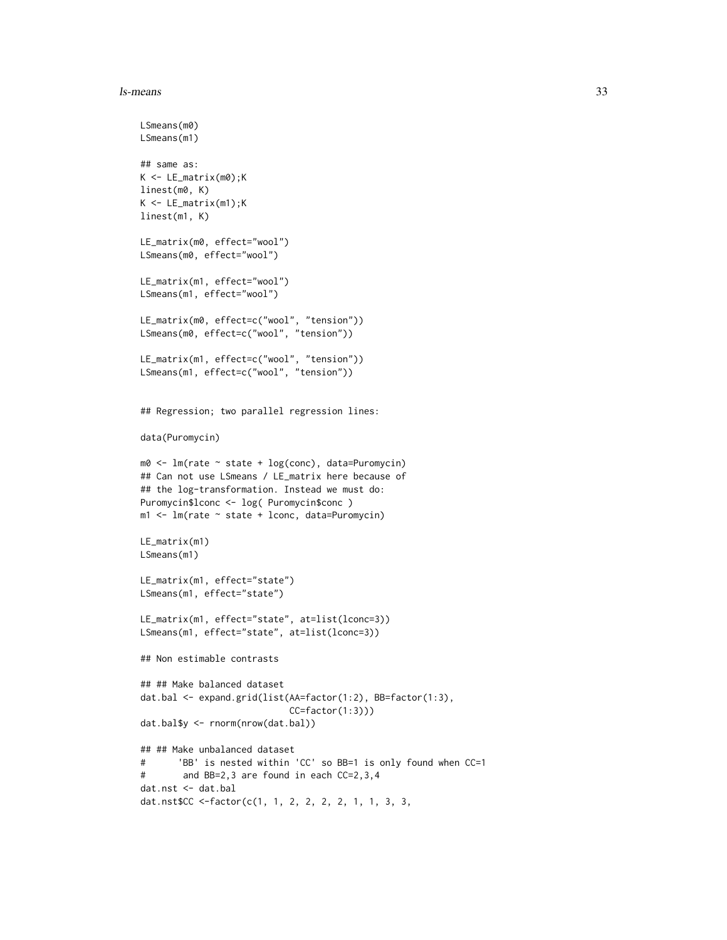#### ls-means 33

```
LSmeans(m0)
LSmeans(m1)
## same as:
K <- LE_matrix(m0);K
linest(m0, K)
K <- LE_matrix(m1);K
linest(m1, K)
LE_matrix(m0, effect="wool")
LSmeans(m0, effect="wool")
LE_matrix(m1, effect="wool")
LSmeans(m1, effect="wool")
LE_matrix(m0, effect=c("wool", "tension"))
LSmeans(m0, effect=c("wool", "tension"))
LE_matrix(m1, effect=c("wool", "tension"))
LSmeans(m1, effect=c("wool", "tension"))
## Regression; two parallel regression lines:
data(Puromycin)
m0 <- lm(rate ~ state + log(conc), data=Puromycin)
## Can not use LSmeans / LE_matrix here because of
## the log-transformation. Instead we must do:
Puromycin$lconc <- log( Puromycin$conc )
m1 <- lm(rate ~ state + lconc, data=Puromycin)
LE_matrix(m1)
LSmeans(m1)
LE_matrix(m1, effect="state")
LSmeans(m1, effect="state")
LE_matrix(m1, effect="state", at=list(lconc=3))
LSmeans(m1, effect="state", at=list(lconc=3))
## Non estimable contrasts
## ## Make balanced dataset
dat.bal <- expand.grid(list(AA=factor(1:2), BB=factor(1:3),
                            CC=factor(1:3)))
dat.bal$y <- rnorm(nrow(dat.bal))
## ## Make unbalanced dataset
# 'BB' is nested within 'CC' so BB=1 is only found when CC=1
# and BB=2,3 are found in each CC=2,3,4
dat.nst <- dat.bal
dat.nst$CC <-factor(c(1, 1, 2, 2, 2, 2, 1, 1, 3, 3,
```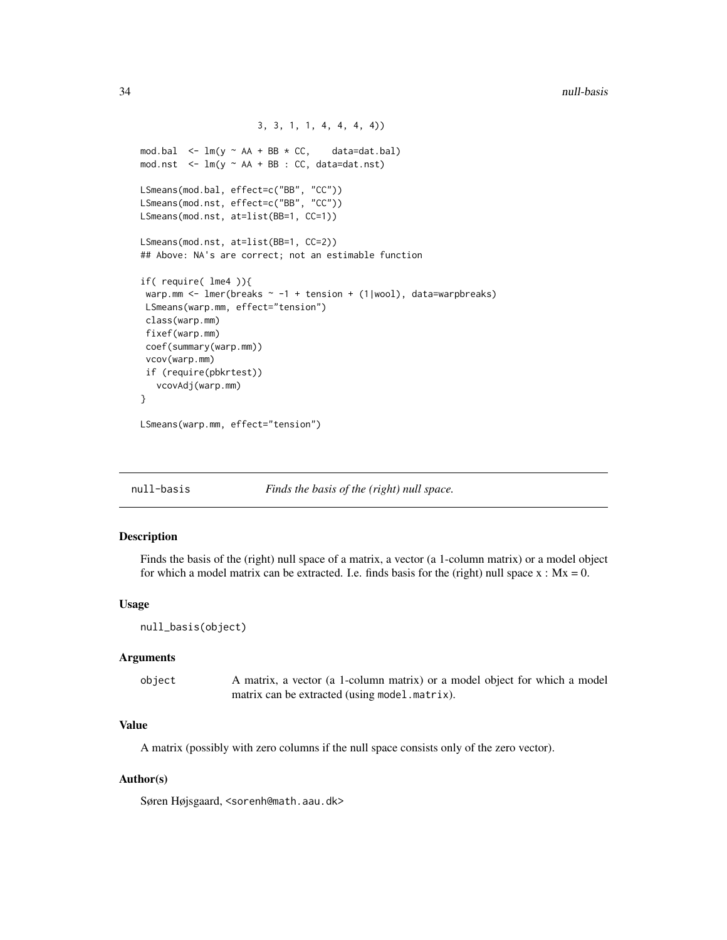```
3, 3, 1, 1, 4, 4, 4, 4))
mod.bal \leq lm(y \sim AA + BB \star CC, data=dat.bal)
mod.nst \leq -\ln(y \sim AA + BB : CC, data=dat.nst)LSmeans(mod.bal, effect=c("BB", "CC"))
LSmeans(mod.nst, effect=c("BB", "CC"))
LSmeans(mod.nst, at=list(BB=1, CC=1))
LSmeans(mod.nst, at=list(BB=1, CC=2))
## Above: NA's are correct; not an estimable function
if( require( lme4 )){
 warp.mm <- lmer(breaks \sim -1 + tension + (1|wool), data=warpbreaks)
 LSmeans(warp.mm, effect="tension")
 class(warp.mm)
 fixef(warp.mm)
 coef(summary(warp.mm))
 vcov(warp.mm)
 if (require(pbkrtest))
   vcovAdj(warp.mm)
}
```
LSmeans(warp.mm, effect="tension")

null-basis *Finds the basis of the (right) null space.*

#### <span id="page-33-1"></span>Description

Finds the basis of the (right) null space of a matrix, a vector (a 1-column matrix) or a model object for which a model matrix can be extracted. I.e. finds basis for the (right) null space  $x : Mx = 0$ .

#### Usage

```
null_basis(object)
```
#### Arguments

| object | A matrix, a vector (a 1-column matrix) or a model object for which a model |
|--------|----------------------------------------------------------------------------|
|        | matrix can be extracted (using model.matrix).                              |

# Value

A matrix (possibly with zero columns if the null space consists only of the zero vector).

#### Author(s)

Søren Højsgaard, <sorenh@math.aau.dk>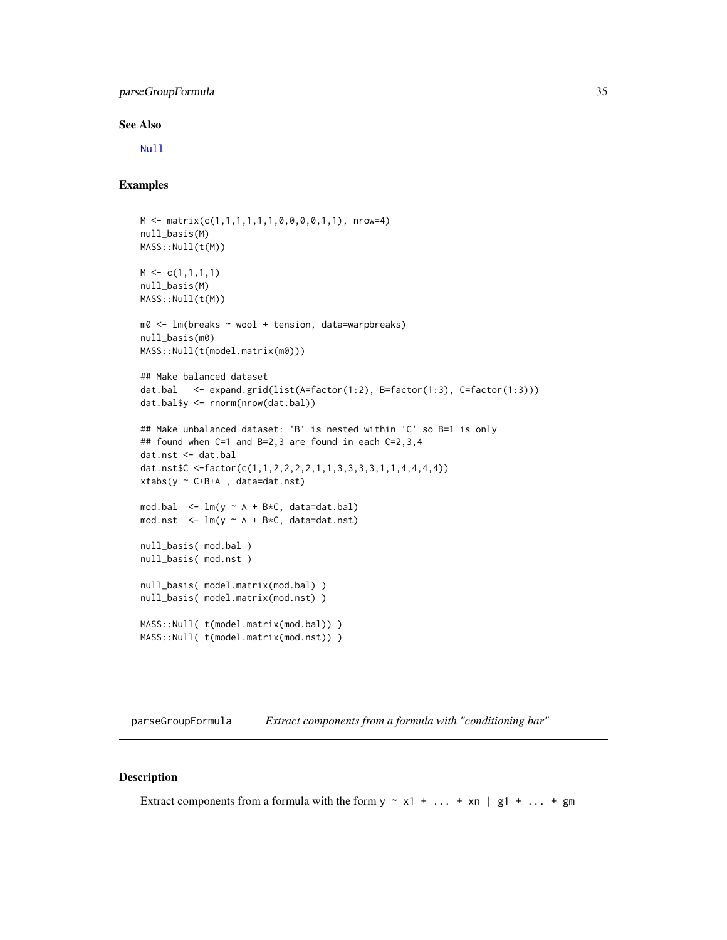# <span id="page-34-0"></span>parseGroupFormula 35

#### See Also

[Null](#page-0-0)

### Examples

```
M <- matrix(c(1,1,1,1,1,1,0,0,0,0,1,1), nrow=4)
null_basis(M)
MASS::Null(t(M))
M \leftarrow c(1,1,1,1)null_basis(M)
MASS::Null(t(M))
m0 <- lm(breaks ~ wool + tension, data=warpbreaks)
null_basis(m0)
MASS::Null(t(model.matrix(m0)))
## Make balanced dataset
dat.bal <- expand.grid(list(A=factor(1:2), B=factor(1:3), C=factor(1:3)))
dat.bal$y <- rnorm(nrow(dat.bal))
## Make unbalanced dataset: 'B' is nested within 'C' so B=1 is only
## found when C=1 and B=2,3 are found in each C=2,3,4
dat.nst <- dat.bal
dat.nst$C <-factor(c(1,1,2,2,2,2,1,1,3,3,3,3,1,1,4,4,4,4))
xtabs(y ~ C+B+A , data=dat.nst)
mod.bal \leq - \ln(y \sim A + B*C, data=dat.bal)mod.nst \leq lm(y \sim A + B*C, data=dat.nst)
null_basis( mod.bal )
null_basis( mod.nst )
null_basis( model.matrix(mod.bal) )
null_basis( model.matrix(mod.nst) )
MASS::Null( t(model.matrix(mod.bal)) )
MASS::Null( t(model.matrix(mod.nst)) )
```
parseGroupFormula *Extract components from a formula with "conditioning bar"*

# Description

Extract components from a formula with the form  $y \sim x1 + ... + xn \mid g1 + ... + gm$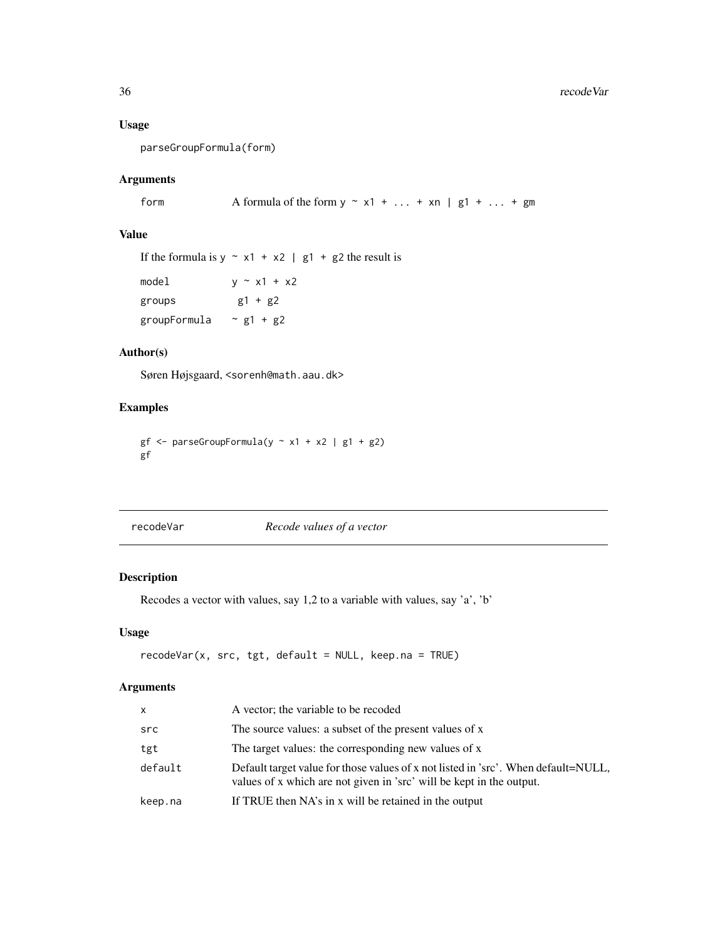# Usage

parseGroupFormula(form)

# Arguments

form  $\blacksquare$  A formula of the form  $y \sim x1 + \ldots + xn \mid g1 + \ldots + gm$ 

# Value

If the formula is  $y \sim x1 + x2$  | g1 + g2 the result is model  $y \sim x1 + x2$ groups  $g1 + g2$ groupFormula  $\sim$  g1 + g2

# Author(s)

Søren Højsgaard, <sorenh@math.aau.dk>

# Examples

```
gf \leftarrow parseGroupFormula(y \sim x1 + x2 \mid g1 + g2)gf
```
<span id="page-35-1"></span>recodeVar *Recode values of a vector*

# Description

Recodes a vector with values, say 1,2 to a variable with values, say 'a', 'b'

# Usage

```
recodeVar(x, src, tgt, default = NULL, keep.na = TRUE)
```
# Arguments

| X       | A vector; the variable to be recoded                                                                                                                       |
|---------|------------------------------------------------------------------------------------------------------------------------------------------------------------|
| src     | The source values: a subset of the present values of x                                                                                                     |
| tgt     | The target values: the corresponding new values of x                                                                                                       |
| default | Default target value for those values of x not listed in 'src'. When default=NULL,<br>values of x which are not given in 'src' will be kept in the output. |
| keep.na | If TRUE then NA's in x will be retained in the output                                                                                                      |

<span id="page-35-0"></span>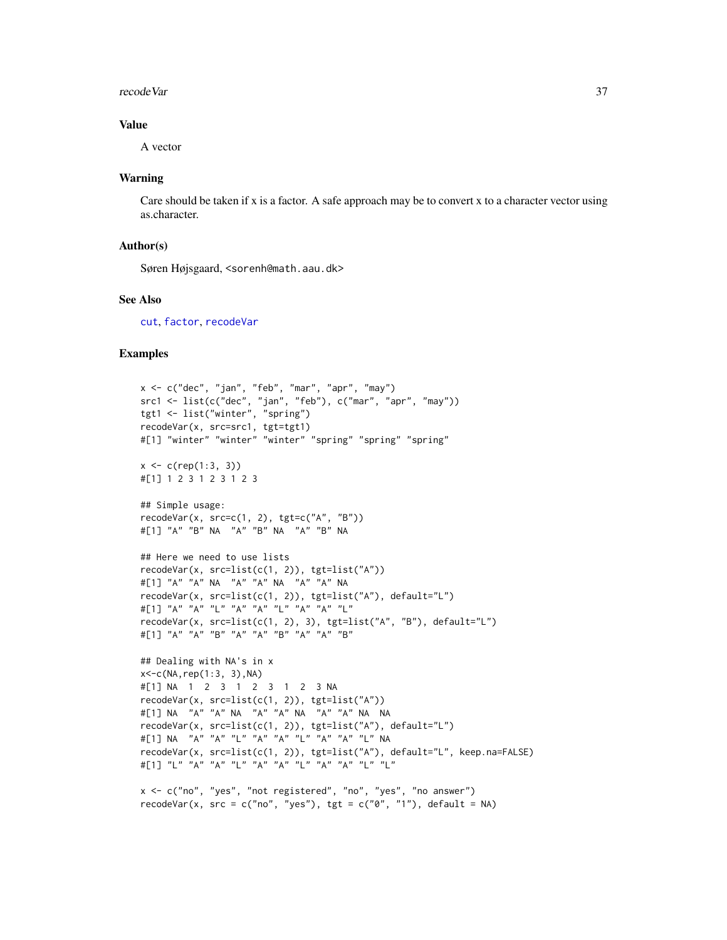#### <span id="page-36-0"></span>recode Var 37

### Value

A vector

#### Warning

Care should be taken if x is a factor. A safe approach may be to convert x to a character vector using as.character.

#### Author(s)

Søren Højsgaard, <sorenh@math.aau.dk>

#### See Also

[cut](#page-0-0), [factor](#page-0-0), [recodeVar](#page-35-1)

```
x <- c("dec", "jan", "feb", "mar", "apr", "may")
src1 <- list(c("dec", "jan", "feb"), c("mar", "apr", "may"))
tgt1 <- list("winter", "spring")
recodeVar(x, src=src1, tgt=tgt1)
#[1] "winter" "winter" "winter" "spring" "spring" "spring"
x \leq c(\text{rep}(1:3, 3))#[1] 1 2 3 1 2 3 1 2 3
## Simple usage:
recodeVar(x, src=c(1, 2), tgt=c("A", "B"))
#[1] "A" "B" NA "A" "B" NA "A" "B" NA
## Here we need to use lists
recodeVar(x, src=list(c(1, 2)), tgt=list("A"))#[1] "A" "A" NA "A" "A" NA "A" "A" NA
recodeVar(x, src=list(c(1, 2)), tgt=list("A"), default="L")
#[1] "A" "A" "L" "A" "A" "L" "A" "A" "L"
recodeVar(x, src=list(c(1, 2), 3), tgt=list("A", "B"), default="L")
#[1] "A" "A" "B" "A" "A" "B" "A" "A" "B"
## Dealing with NA's in x
x < -c(NA, rep(1:3, 3), NA)#[1] NA 1 2 3 1 2 3 1 2 3 NA
recodeVar(x, src=list(c(1, 2)), tgt=list("A"))
#[1] NA "A" "A" NA "A" "A" NA "A" "A" NA NA
recodeVar(x, src=list(c(1, 2)), tgt=list("A"), default="L")
#[1] NA "A" "A" "L" "A" "A" "L" "A" "A" "L" NA
recodeVar(x, src=list(c(1, 2)), tgt=list("A"), default="L", keep.na=FALSE)
#[1] "L" "A" "A" "L" "A" "A" "L" "A" "A" "L" "L"
x <- c("no", "yes", "not registered", "no", "yes", "no answer")
```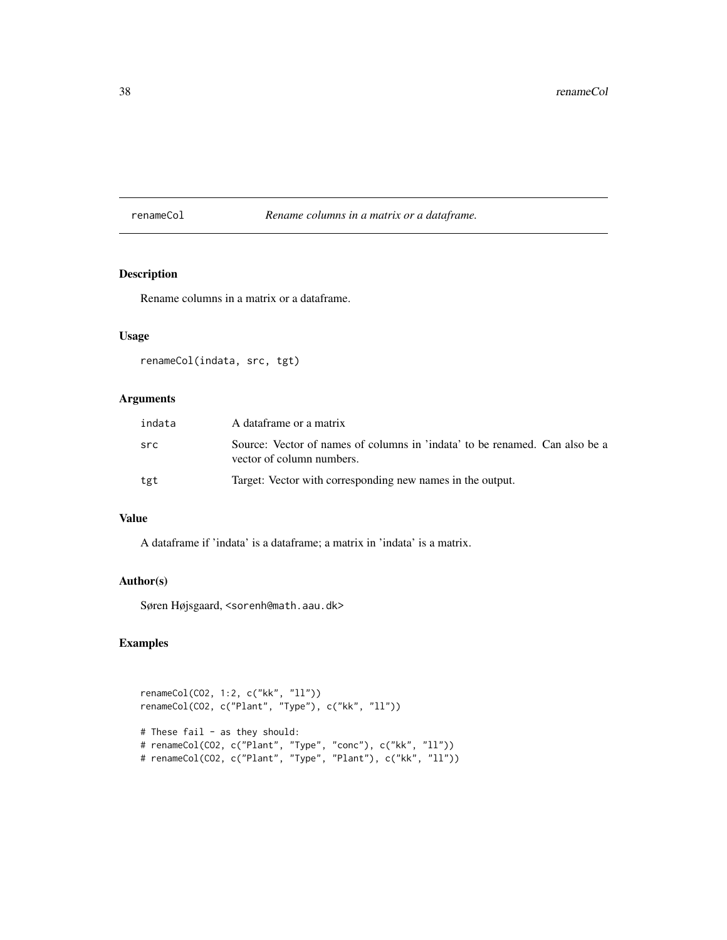<span id="page-37-0"></span>renameCol *Rename columns in a matrix or a dataframe.*

# Description

Rename columns in a matrix or a dataframe.

# Usage

renameCol(indata, src, tgt)

# Arguments

| indata | A dataframe or a matrix                                                                                  |
|--------|----------------------------------------------------------------------------------------------------------|
| src    | Source: Vector of names of columns in 'indata' to be renamed. Can also be a<br>vector of column numbers. |
| tgt    | Target: Vector with corresponding new names in the output.                                               |

# Value

A dataframe if 'indata' is a dataframe; a matrix in 'indata' is a matrix.

# Author(s)

Søren Højsgaard, <sorenh@math.aau.dk>

```
renameCol(CO2, 1:2, c("kk", "ll"))
renameCol(CO2, c("Plant", "Type"), c("kk", "ll"))
# These fail - as they should:
# renameCol(CO2, c("Plant", "Type", "conc"), c("kk", "ll"))
# renameCol(CO2, c("Plant", "Type", "Plant"), c("kk", "ll"))
```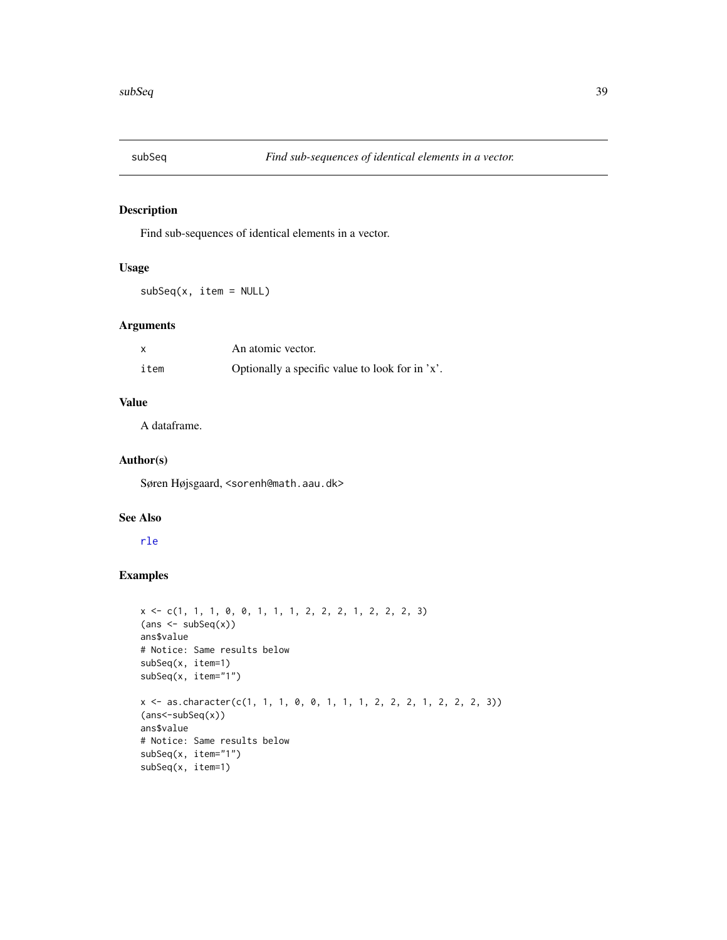<span id="page-38-1"></span><span id="page-38-0"></span>

# Description

Find sub-sequences of identical elements in a vector.

# Usage

 $subSeq(x, item = NULL)$ 

# Arguments

|      | An atomic vector.                               |  |
|------|-------------------------------------------------|--|
| item | Optionally a specific value to look for in 'x'. |  |

# Value

A dataframe.

# Author(s)

Søren Højsgaard, <sorenh@math.aau.dk>

#### See Also

# [rle](#page-0-0)

```
x <- c(1, 1, 1, 0, 0, 1, 1, 1, 2, 2, 2, 1, 2, 2, 2, 3)
{\sf (ans \leftarrow subSeq(x))}ans$value
# Notice: Same results below
subSeq(x, item=1)
subSeq(x, item="1")
x <- as.character(c(1, 1, 1, 0, 0, 1, 1, 1, 2, 2, 2, 1, 2, 2, 2, 3))
(ans<-subSeq(x))
ans$value
# Notice: Same results below
subSeq(x, item="1")
subSeq(x, item=1)
```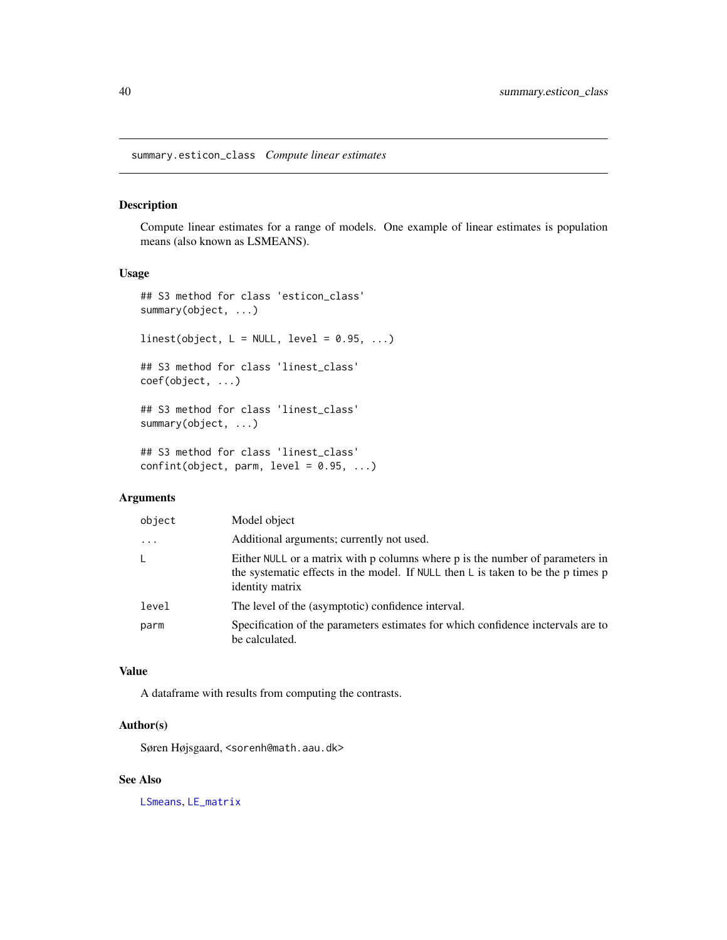<span id="page-39-0"></span>summary.esticon\_class *Compute linear estimates*

#### <span id="page-39-1"></span>Description

Compute linear estimates for a range of models. One example of linear estimates is population means (also known as LSMEANS).

# Usage

```
## S3 method for class 'esticon_class'
summary(object, ...)
linest(object, L = NULL, level = 0.95, ...)
## S3 method for class 'linest_class'
coef(object, ...)
## S3 method for class 'linest_class'
summary(object, ...)
## S3 method for class 'linest_class'
```

```
confint(object, parm, level = 0.95, ...)
```
# Arguments

| object   | Model object                                                                                                                                                                                   |
|----------|------------------------------------------------------------------------------------------------------------------------------------------------------------------------------------------------|
| $\cdots$ | Additional arguments; currently not used.                                                                                                                                                      |
| L        | Either NULL or a matrix with p columns where p is the number of parameters in<br>the systematic effects in the model. If NULL then $\mathsf L$ is taken to be the p times p<br>identity matrix |
| level    | The level of the (asymptotic) confidence interval.                                                                                                                                             |
| parm     | Specification of the parameters estimates for which confidence inctervals are to<br>be calculated.                                                                                             |

#### Value

A dataframe with results from computing the contrasts.

# Author(s)

Søren Højsgaard, <sorenh@math.aau.dk>

#### See Also

[LSmeans](#page-30-1), [LE\\_matrix](#page-28-1)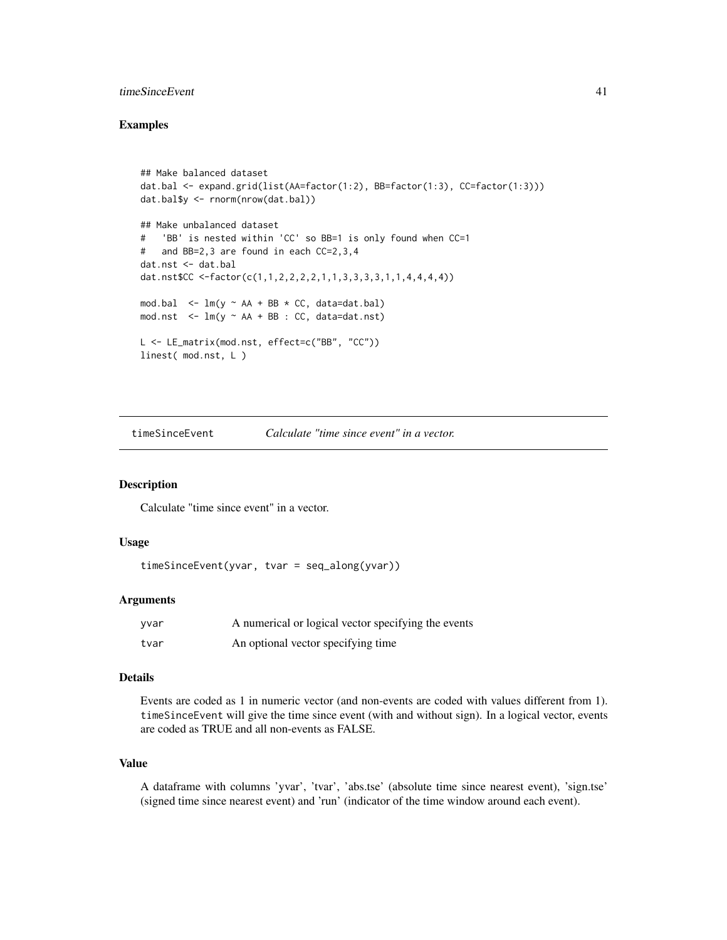# <span id="page-40-0"></span>timeSinceEvent 41

#### Examples

```
## Make balanced dataset
dat.bal <- expand.grid(list(AA=factor(1:2), BB=factor(1:3), CC=factor(1:3)))
dat.bal$y <- rnorm(nrow(dat.bal))
## Make unbalanced dataset
# 'BB' is nested within 'CC' so BB=1 is only found when CC=1
# and BB=2,3 are found in each CC=2,3,4
dat.nst <- dat.bal
dat.nst$CC <-factor(c(1,1,2,2,2,2,1,1,3,3,3,3,1,1,4,4,4,4))
mod.bal \leq lm(y \sim AA + BB \star CC, data=dat.bal)
mod.nst \leq lm(y \sim AA + BB : CC, data=dat.nst)
L <- LE_matrix(mod.nst, effect=c("BB", "CC"))
linest( mod.nst, L )
```
timeSinceEvent *Calculate "time since event" in a vector.*

### Description

Calculate "time since event" in a vector.

#### Usage

```
timeSinceEvent(yvar, tvar = seq_along(yvar))
```
# Arguments

| yvar | A numerical or logical vector specifying the events |
|------|-----------------------------------------------------|
| tvar | An optional vector specifying time                  |

# Details

Events are coded as 1 in numeric vector (and non-events are coded with values different from 1). timeSinceEvent will give the time since event (with and without sign). In a logical vector, events are coded as TRUE and all non-events as FALSE.

# Value

A dataframe with columns 'yvar', 'tvar', 'abs.tse' (absolute time since nearest event), 'sign.tse' (signed time since nearest event) and 'run' (indicator of the time window around each event).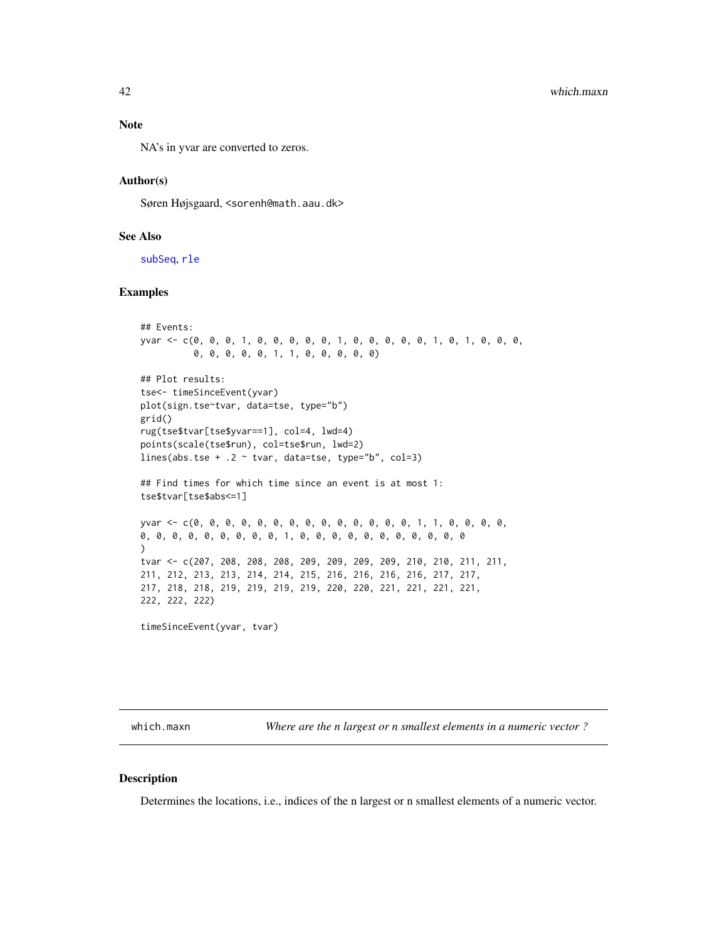#### <span id="page-41-0"></span>Note

NA's in yvar are converted to zeros.

#### Author(s)

Søren Højsgaard, <sorenh@math.aau.dk>

# See Also

[subSeq](#page-38-1), [rle](#page-0-0)

# Examples

```
## Events:
yvar <- c(0, 0, 0, 1, 0, 0, 0, 0, 0, 1, 0, 0, 0, 0, 0, 1, 0, 1, 0, 0, 0,
          0, 0, 0, 0, 0, 1, 1, 0, 0, 0, 0, 0)
## Plot results:
tse<- timeSinceEvent(yvar)
plot(sign.tse~tvar, data=tse, type="b")
grid()
rug(tse$tvar[tse$yvar==1], col=4, lwd=4)
points(scale(tse$run), col=tse$run, lwd=2)
lines(abs.tse + .2 \sim tvar, data=tse, type="b", col=3)
## Find times for which time since an event is at most 1:
tse$tvar[tse$abs<=1]
yvar <- c(0, 0, 0, 0, 0, 0, 0, 0, 0, 0, 0, 0, 0, 0, 1, 1, 0, 0, 0, 0,
0, 0, 0, 0, 0, 0, 0, 0, 0, 1, 0, 0, 0, 0, 0, 0, 0, 0, 0, 0, 0
\lambdatvar <- c(207, 208, 208, 208, 209, 209, 209, 209, 210, 210, 211, 211,
211, 212, 213, 213, 214, 214, 215, 216, 216, 216, 216, 217, 217,
217, 218, 218, 219, 219, 219, 219, 220, 220, 221, 221, 221, 221,
222, 222, 222)
timeSinceEvent(yvar, tvar)
```
which.maxn *Where are the n largest or n smallest elements in a numeric vector ?*

### Description

Determines the locations, i.e., indices of the n largest or n smallest elements of a numeric vector.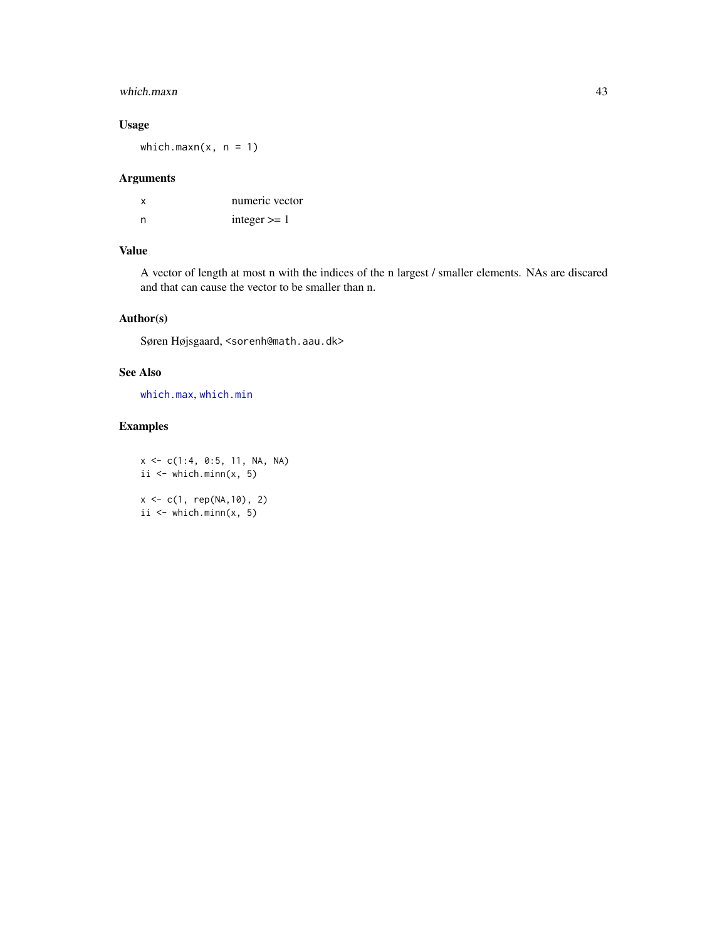# <span id="page-42-0"></span>which.maxn 43

# Usage

which.maxn( $x, n = 1$ )

# Arguments

| x | numeric vector |
|---|----------------|
| n | integer $>= 1$ |

# Value

A vector of length at most n with the indices of the n largest / smaller elements. NAs are discared and that can cause the vector to be smaller than n.

# Author(s)

Søren Højsgaard, <sorenh@math.aau.dk>

# See Also

[which.max](#page-0-0), [which.min](#page-0-0)

# Examples

 $x \leq c(1:4, 0:5, 11, NA, NA)$ ii  $\leq$  which.minn(x, 5) x <- c(1, rep(NA,10), 2) ii  $\leq$  which.minn(x, 5)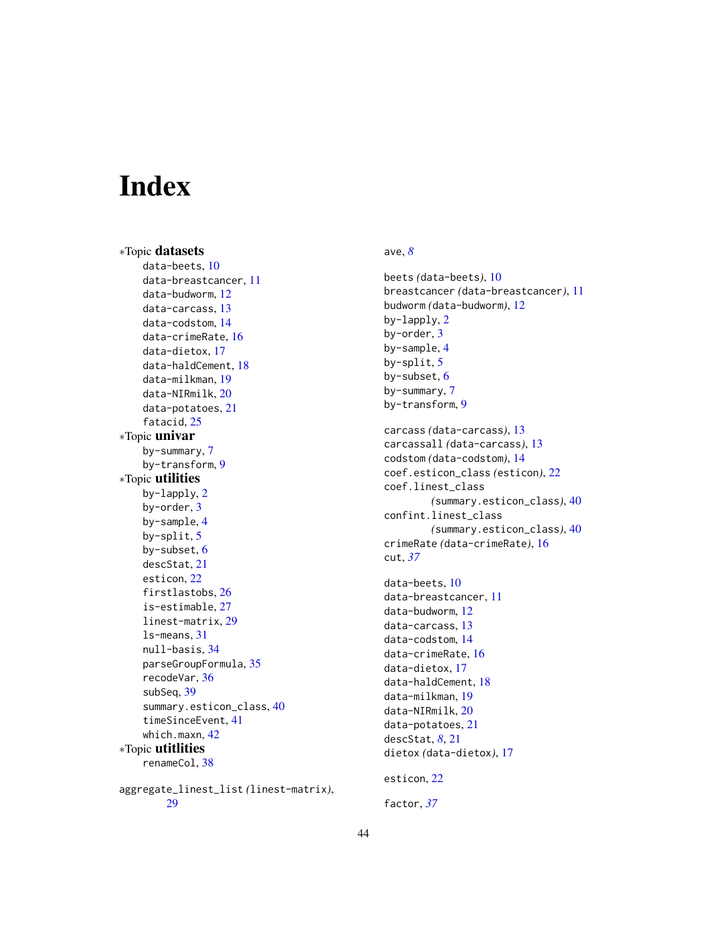# <span id="page-43-0"></span>Index

∗Topic datasets data-beets, [10](#page-9-0) data-breastcancer, [11](#page-10-0) data-budworm, [12](#page-11-0) data-carcass, [13](#page-12-0) data-codstom, [14](#page-13-0) data-crimeRate, [16](#page-15-0) data-dietox, [17](#page-16-0) data-haldCement, [18](#page-17-0) data-milkman, [19](#page-18-0) data-NIRmilk, [20](#page-19-0) data-potatoes, [21](#page-20-0) fatacid, [25](#page-24-0) ∗Topic univar by-summary, [7](#page-6-0) by-transform, [9](#page-8-0) ∗Topic utilities by-lapply, [2](#page-1-0) by-order, [3](#page-2-0) by-sample, [4](#page-3-0) by-split, [5](#page-4-0) by-subset, [6](#page-5-0) descStat, [21](#page-20-0) esticon, [22](#page-21-0) firstlastobs, [26](#page-25-0) is-estimable, [27](#page-26-0) linest-matrix, [29](#page-28-0) ls-means, [31](#page-30-0) null-basis, [34](#page-33-0) parseGroupFormula, [35](#page-34-0) recodeVar, [36](#page-35-0) subSeq, [39](#page-38-0) summary.esticon\_class, [40](#page-39-0) timeSinceEvent, [41](#page-40-0) which.maxn, [42](#page-41-0) ∗Topic utitlities renameCol, [38](#page-37-0) aggregate\_linest\_list *(*linest-matrix*)*, [29](#page-28-0)

# ave, *[8](#page-7-0)*

```
beets (data-beets), 10
breastcancer (data-breastcancer), 11
budworm (data-budworm), 12
by-lapply, 2
by-order, 3
by-sample, 4
by-split, 5
by-subset, 6
by-summary, 7
by-transform, 9
carcass (data-carcass), 13
carcassall (data-carcass), 13
codstom (data-codstom), 14
coef.esticon_class (esticon), 22
coef.linest_class
        (summary.esticon_class), 40
confint.linest_class
        (summary.esticon_class), 40
crimeRate (data-crimeRate), 16
cut, 37
data-beets, 10
data-breastcancer, 11
data-budworm, 12
data-carcass, 13
data-codstom, 14
data-crimeRate, 16
data-dietox, 17
data-haldCement, 18
data-milkman, 19
data-NIRmilk, 20
data-potatoes, 21
descStat, 8, 21
```
esticon, [22](#page-21-0)

dietox *(*data-dietox*)*, [17](#page-16-0)

factor, *[37](#page-36-0)*